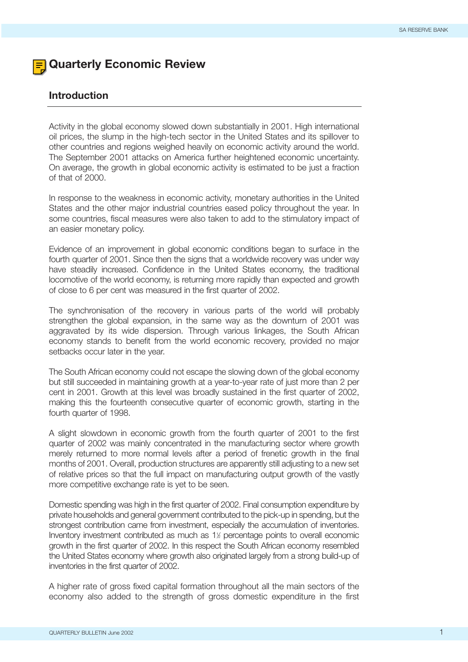# **Quarterly Economic Review**

## **Introduction**

Activity in the global economy slowed down substantially in 2001. High international oil prices, the slump in the high-tech sector in the United States and its spillover to other countries and regions weighed heavily on economic activity around the world. The September 2001 attacks on America further heightened economic uncertainty. On average, the growth in global economic activity is estimated to be just a fraction of that of 2000.

In response to the weakness in economic activity, monetary authorities in the United States and the other major industrial countries eased policy throughout the year. In some countries, fiscal measures were also taken to add to the stimulatory impact of an easier monetary policy.

Evidence of an improvement in global economic conditions began to surface in the fourth quarter of 2001. Since then the signs that a worldwide recovery was under way have steadily increased. Confidence in the United States economy, the traditional locomotive of the world economy, is returning more rapidly than expected and growth of close to 6 per cent was measured in the first quarter of 2002.

The synchronisation of the recovery in various parts of the world will probably strengthen the global expansion, in the same way as the downturn of 2001 was aggravated by its wide dispersion. Through various linkages, the South African economy stands to benefit from the world economic recovery, provided no major setbacks occur later in the year.

The South African economy could not escape the slowing down of the global economy but still succeeded in maintaining growth at a year-to-year rate of just more than 2 per cent in 2001. Growth at this level was broadly sustained in the first quarter of 2002, making this the fourteenth consecutive quarter of economic growth, starting in the fourth quarter of 1998.

A slight slowdown in economic growth from the fourth quarter of 2001 to the first quarter of 2002 was mainly concentrated in the manufacturing sector where growth merely returned to more normal levels after a period of frenetic growth in the final months of 2001. Overall, production structures are apparently still adjusting to a new set of relative prices so that the full impact on manufacturing output growth of the vastly more competitive exchange rate is yet to be seen.

Domestic spending was high in the first quarter of 2002. Final consumption expenditure by private households and general government contributed to the pick-up in spending, but the strongest contribution came from investment, especially the accumulation of inventories. Inventory investment contributed as much as 1½ percentage points to overall economic growth in the first quarter of 2002. In this respect the South African economy resembled the United States economy where growth also originated largely from a strong build-up of inventories in the first quarter of 2002.

A higher rate of gross fixed capital formation throughout all the main sectors of the economy also added to the strength of gross domestic expenditure in the first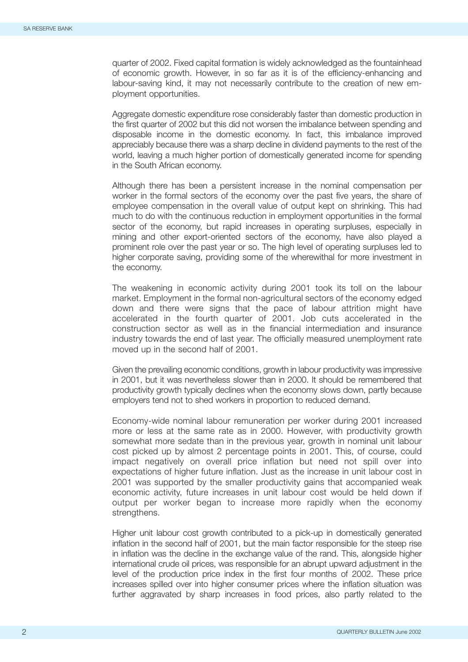quarter of 2002. Fixed capital formation is widely acknowledged as the fountainhead of economic growth. However, in so far as it is of the efficiency-enhancing and labour-saving kind, it may not necessarily contribute to the creation of new employment opportunities.

Aggregate domestic expenditure rose considerably faster than domestic production in the first quarter of 2002 but this did not worsen the imbalance between spending and disposable income in the domestic economy. In fact, this imbalance improved appreciably because there was a sharp decline in dividend payments to the rest of the world, leaving a much higher portion of domestically generated income for spending in the South African economy.

Although there has been a persistent increase in the nominal compensation per worker in the formal sectors of the economy over the past five years, the share of employee compensation in the overall value of output kept on shrinking. This had much to do with the continuous reduction in employment opportunities in the formal sector of the economy, but rapid increases in operating surpluses, especially in mining and other export-oriented sectors of the economy, have also played a prominent role over the past year or so. The high level of operating surpluses led to higher corporate saving, providing some of the wherewithal for more investment in the economy.

The weakening in economic activity during 2001 took its toll on the labour market. Employment in the formal non-agricultural sectors of the economy edged down and there were signs that the pace of labour attrition might have accelerated in the fourth quarter of 2001. Job cuts accelerated in the construction sector as well as in the financial intermediation and insurance industry towards the end of last year. The officially measured unemployment rate moved up in the second half of 2001.

Given the prevailing economic conditions, growth in labour productivity was impressive in 2001, but it was nevertheless slower than in 2000. It should be remembered that productivity growth typically declines when the economy slows down, partly because employers tend not to shed workers in proportion to reduced demand.

Economy-wide nominal labour remuneration per worker during 2001 increased more or less at the same rate as in 2000. However, with productivity growth somewhat more sedate than in the previous year, growth in nominal unit labour cost picked up by almost 2 percentage points in 2001. This, of course, could impact negatively on overall price inflation but need not spill over into expectations of higher future inflation. Just as the increase in unit labour cost in 2001 was supported by the smaller productivity gains that accompanied weak economic activity, future increases in unit labour cost would be held down if output per worker began to increase more rapidly when the economy strengthens.

Higher unit labour cost growth contributed to a pick-up in domestically generated inflation in the second half of 2001, but the main factor responsible for the steep rise in inflation was the decline in the exchange value of the rand. This, alongside higher international crude oil prices, was responsible for an abrupt upward adjustment in the level of the production price index in the first four months of 2002. These price increases spilled over into higher consumer prices where the inflation situation was further aggravated by sharp increases in food prices, also partly related to the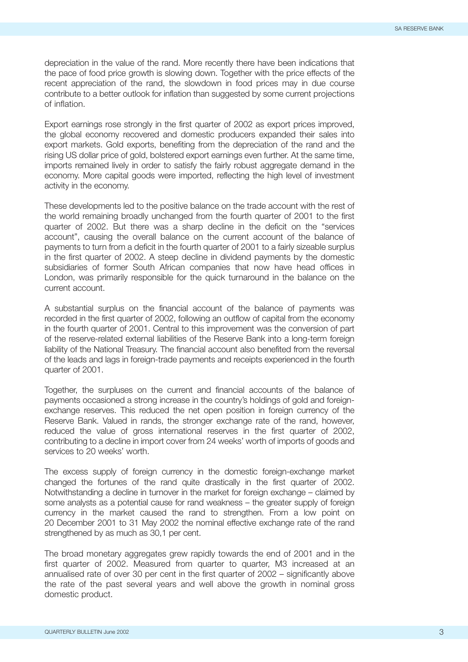depreciation in the value of the rand. More recently there have been indications that the pace of food price growth is slowing down. Together with the price effects of the recent appreciation of the rand, the slowdown in food prices may in due course contribute to a better outlook for inflation than suggested by some current projections of inflation.

Export earnings rose strongly in the first quarter of 2002 as export prices improved, the global economy recovered and domestic producers expanded their sales into export markets. Gold exports, benefiting from the depreciation of the rand and the rising US dollar price of gold, bolstered export earnings even further. At the same time, imports remained lively in order to satisfy the fairly robust aggregate demand in the economy. More capital goods were imported, reflecting the high level of investment activity in the economy.

These developments led to the positive balance on the trade account with the rest of the world remaining broadly unchanged from the fourth quarter of 2001 to the first quarter of 2002. But there was a sharp decline in the deficit on the "services account", causing the overall balance on the current account of the balance of payments to turn from a deficit in the fourth quarter of 2001 to a fairly sizeable surplus in the first quarter of 2002. A steep decline in dividend payments by the domestic subsidiaries of former South African companies that now have head offices in London, was primarily responsible for the quick turnaround in the balance on the current account.

A substantial surplus on the financial account of the balance of payments was recorded in the first quarter of 2002, following an outflow of capital from the economy in the fourth quarter of 2001. Central to this improvement was the conversion of part of the reserve-related external liabilities of the Reserve Bank into a long-term foreign liability of the National Treasury. The financial account also benefited from the reversal of the leads and lags in foreign-trade payments and receipts experienced in the fourth quarter of 2001.

Together, the surpluses on the current and financial accounts of the balance of payments occasioned a strong increase in the country's holdings of gold and foreignexchange reserves. This reduced the net open position in foreign currency of the Reserve Bank. Valued in rands, the stronger exchange rate of the rand, however, reduced the value of gross international reserves in the first quarter of 2002, contributing to a decline in import cover from 24 weeks' worth of imports of goods and services to 20 weeks' worth.

The excess supply of foreign currency in the domestic foreign-exchange market changed the fortunes of the rand quite drastically in the first quarter of 2002. Notwithstanding a decline in turnover in the market for foreign exchange – claimed by some analysts as a potential cause for rand weakness – the greater supply of foreign currency in the market caused the rand to strengthen. From a low point on 20 December 2001 to 31 May 2002 the nominal effective exchange rate of the rand strengthened by as much as 30,1 per cent.

The broad monetary aggregates grew rapidly towards the end of 2001 and in the first quarter of 2002. Measured from quarter to quarter, M3 increased at an annualised rate of over 30 per cent in the first quarter of 2002 – significantly above the rate of the past several years and well above the growth in nominal gross domestic product.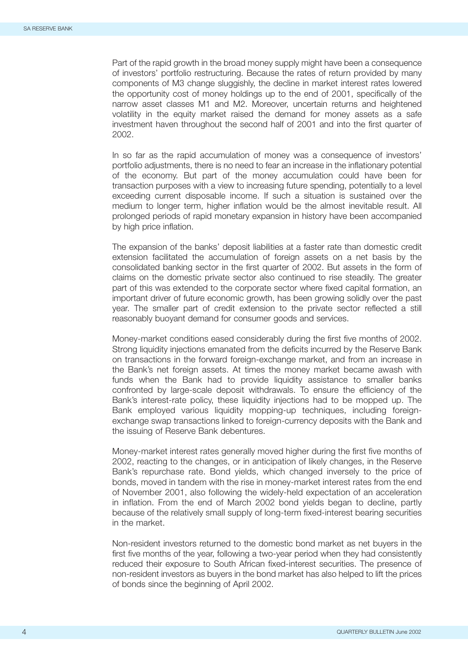Part of the rapid growth in the broad money supply might have been a consequence of investors' portfolio restructuring. Because the rates of return provided by many components of M3 change sluggishly, the decline in market interest rates lowered the opportunity cost of money holdings up to the end of 2001, specifically of the narrow asset classes M1 and M2. Moreover, uncertain returns and heightened volatility in the equity market raised the demand for money assets as a safe investment haven throughout the second half of 2001 and into the first quarter of 2002.

In so far as the rapid accumulation of money was a consequence of investors' portfolio adjustments, there is no need to fear an increase in the inflationary potential of the economy. But part of the money accumulation could have been for transaction purposes with a view to increasing future spending, potentially to a level exceeding current disposable income. If such a situation is sustained over the medium to longer term, higher inflation would be the almost inevitable result. All prolonged periods of rapid monetary expansion in history have been accompanied by high price inflation.

The expansion of the banks' deposit liabilities at a faster rate than domestic credit extension facilitated the accumulation of foreign assets on a net basis by the consolidated banking sector in the first quarter of 2002. But assets in the form of claims on the domestic private sector also continued to rise steadily. The greater part of this was extended to the corporate sector where fixed capital formation, an important driver of future economic growth, has been growing solidly over the past year. The smaller part of credit extension to the private sector reflected a still reasonably buoyant demand for consumer goods and services.

Money-market conditions eased considerably during the first five months of 2002. Strong liquidity injections emanated from the deficits incurred by the Reserve Bank on transactions in the forward foreign-exchange market, and from an increase in the Bank's net foreign assets. At times the money market became awash with funds when the Bank had to provide liquidity assistance to smaller banks confronted by large-scale deposit withdrawals. To ensure the efficiency of the Bank's interest-rate policy, these liquidity injections had to be mopped up. The Bank employed various liquidity mopping-up techniques, including foreignexchange swap transactions linked to foreign-currency deposits with the Bank and the issuing of Reserve Bank debentures.

Money-market interest rates generally moved higher during the first five months of 2002, reacting to the changes, or in anticipation of likely changes, in the Reserve Bank's repurchase rate. Bond yields, which changed inversely to the price of bonds, moved in tandem with the rise in money-market interest rates from the end of November 2001, also following the widely-held expectation of an acceleration in inflation. From the end of March 2002 bond yields began to decline, partly because of the relatively small supply of long-term fixed-interest bearing securities in the market.

Non-resident investors returned to the domestic bond market as net buyers in the first five months of the year, following a two-year period when they had consistently reduced their exposure to South African fixed-interest securities. The presence of non-resident investors as buyers in the bond market has also helped to lift the prices of bonds since the beginning of April 2002.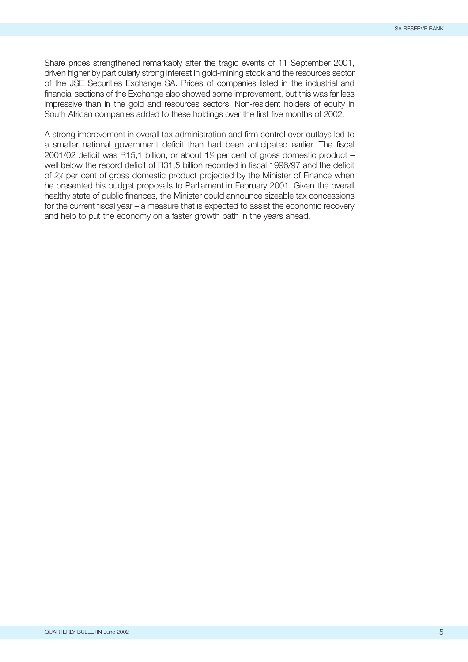Share prices strengthened remarkably after the tragic events of 11 September 2001, driven higher by particularly strong interest in gold-mining stock and the resources sector of the JSE Securities Exchange SA. Prices of companies listed in the industrial and financial sections of the Exchange also showed some improvement, but this was far less impressive than in the gold and resources sectors. Non-resident holders of equity in South African companies added to these holdings over the first five months of 2002.

A strong improvement in overall tax administration and firm control over outlays led to a smaller national government deficit than had been anticipated earlier. The fiscal 2001/02 deficit was R15,1 billion, or about 1½ per cent of gross domestic product well below the record deficit of R31,5 billion recorded in fiscal 1996/97 and the deficit of 2½ per cent of gross domestic product projected by the Minister of Finance when he presented his budget proposals to Parliament in February 2001. Given the overall healthy state of public finances, the Minister could announce sizeable tax concessions for the current fiscal year – a measure that is expected to assist the economic recovery and help to put the economy on a faster growth path in the years ahead.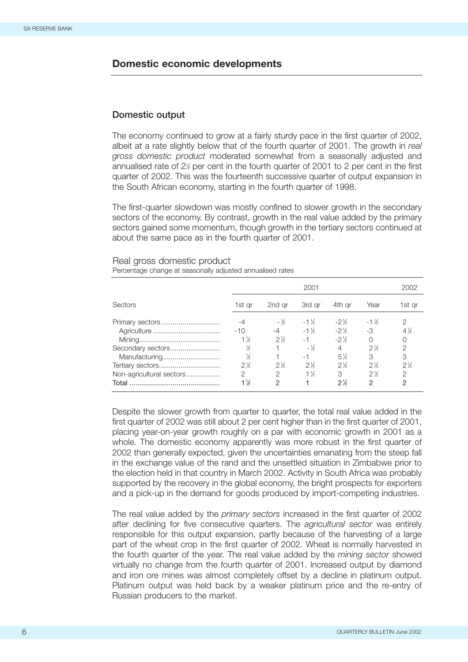## **Domestic economic developments**

### **Domestic output**

The economy continued to grow at a fairly sturdy pace in the first quarter of 2002, albeit at a rate slightly below that of the fourth quarter of 2001. The growth in *real gross domestic product* moderated somewhat from a seasonally adjusted and annualised rate of 2<sup>1/2</sup> per cent in the fourth quarter of 2001 to 2 per cent in the first quarter of 2002. This was the fourteenth successive quarter of output expansion in the South African economy, starting in the fourth quarter of 1998.

The first-quarter slowdown was mostly confined to slower growth in the secondary sectors of the economy. By contrast, growth in the real value added by the primary sectors gained some momentum, though growth in the tertiary sectors continued at about the same pace as in the fourth quarter of 2001.

#### Real gross domestic product

Percentage change at seasonally adjusted annualised rates

|                          |                |                | 2001            |                 |                 | 2002           |
|--------------------------|----------------|----------------|-----------------|-----------------|-----------------|----------------|
| Sectors                  | 1st ar         | 2nd gr         | 3rd gr          | 4th ar          | Year            | 1st ar         |
|                          |                | $-1/2$         | $-1\frac{1}{2}$ | $-2\frac{1}{6}$ | $-1\frac{1}{2}$ | 2              |
|                          | $-10$          |                | $-1\frac{1}{2}$ | $-2\frac{1}{6}$ | -3              | $4\%$          |
|                          | 1½             | $2\frac{1}{6}$ | $-1$            | $-2\frac{1}{6}$ | $\bigcap$       | $\Omega$       |
| Secondary sectors        | ℅              |                | $-1/2$          |                 | $2\%$           | $\mathcal{P}$  |
| Manufacturing            | ℅              |                |                 | $5\%$           | 3               | 3              |
| Tertiary sectors         | $2\frac{1}{6}$ | $2\frac{1}{6}$ | $2\frac{1}{6}$  | $2\frac{1}{6}$  | $2\frac{1}{6}$  | $2\frac{1}{2}$ |
| Non-agricultural sectors | 2              | 2              | $1\frac{1}{2}$  | 3               | $2\%$           | $\mathcal{P}$  |
|                          | 1½             | 2              |                 | $2\%$           | 2               | 2              |

Despite the slower growth from quarter to quarter, the total real value added in the first quarter of 2002 was still about 2 per cent higher than in the first quarter of 2001, placing year-on-year growth roughly on a par with economic growth in 2001 as a whole. The domestic economy apparently was more robust in the first quarter of 2002 than generally expected, given the uncertainties emanating from the steep fall in the exchange value of the rand and the unsettled situation in Zimbabwe prior to the election held in that country in March 2002. Activity in South Africa was probably supported by the recovery in the global economy, the bright prospects for exporters and a pick-up in the demand for goods produced by import-competing industries.

The real value added by the *primary sectors* increased in the first quarter of 2002 after declining for five consecutive quarters. The *agricultural sector* was entirely responsible for this output expansion, partly because of the harvesting of a large part of the wheat crop in the first quarter of 2002. Wheat is normally harvested in the fourth quarter of the year. The real value added by the *mining sector* showed virtually no change from the fourth quarter of 2001. Increased output by diamond and iron ore mines was almost completely offset by a decline in platinum output. Platinum output was held back by a weaker platinum price and the re-entry of Russian producers to the market.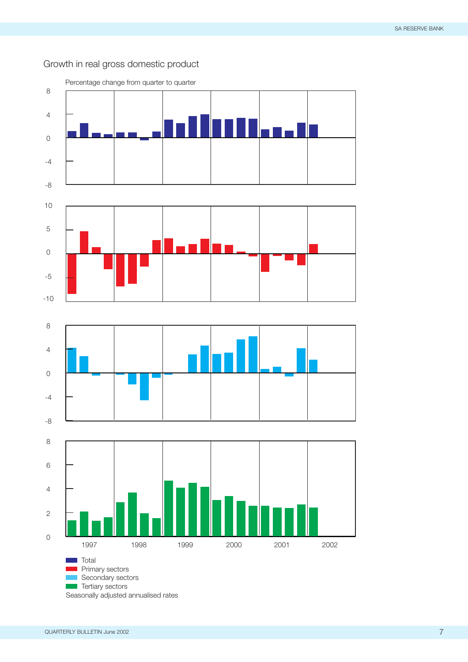

## Growth in real gross domestic product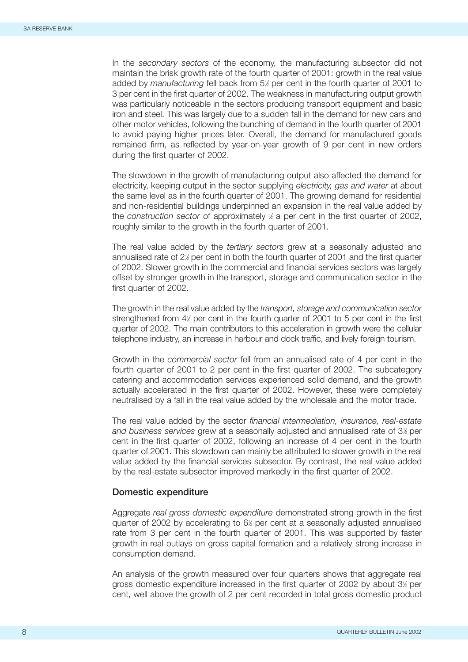In the *secondary sectors* of the economy, the manufacturing subsector did not maintain the brisk growth rate of the fourth quarter of 2001: growth in the real value added by *manufacturing* fell back from 5½ per cent in the fourth quarter of 2001 to 3 per cent in the first quarter of 2002. The weakness in manufacturing output growth was particularly noticeable in the sectors producing transport equipment and basic iron and steel. This was largely due to a sudden fall in the demand for new cars and other motor vehicles, following the bunching of demand in the fourth quarter of 2001 to avoid paying higher prices later. Overall, the demand for manufactured goods remained firm, as reflected by year-on-year growth of 9 per cent in new orders during the first quarter of 2002.

The slowdown in the growth of manufacturing output also affected the demand for electricity, keeping output in the sector supplying *electricity, gas and water* at about the same level as in the fourth quarter of 2001. The growing demand for residential and non-residential buildings underpinned an expansion in the real value added by the *construction sector* of approximately  $\frac{1}{2}$  a per cent in the first quarter of 2002, roughly similar to the growth in the fourth quarter of 2001.

The real value added by the *tertiary sectors* grew at a seasonally adjusted and annualised rate of 2½ per cent in both the fourth quarter of 2001 and the first quarter of 2002. Slower growth in the commercial and financial services sectors was largely offset by stronger growth in the transport, storage and communication sector in the first quarter of 2002.

The growth in the real value added by the *transport, storage and communication sector* strengthened from 4<sup>1/2</sup> per cent in the fourth quarter of 2001 to 5 per cent in the first quarter of 2002. The main contributors to this acceleration in growth were the cellular telephone industry, an increase in harbour and dock traffic, and lively foreign tourism.

Growth in the *commercial sector* fell from an annualised rate of 4 per cent in the fourth quarter of 2001 to 2 per cent in the first quarter of 2002. The subcategory catering and accommodation services experienced solid demand, and the growth actually accelerated in the first quarter of 2002. However, these were completely neutralised by a fall in the real value added by the wholesale and the motor trade.

The real value added by the sector *financial intermediation, insurance, real-estate and business services* grew at a seasonally adjusted and annualised rate of 31 ⁄2 per cent in the first quarter of 2002, following an increase of 4 per cent in the fourth quarter of 2001. This slowdown can mainly be attributed to slower growth in the real value added by the financial services subsector. By contrast, the real value added by the real-estate subsector improved markedly in the first quarter of 2002.

### **Domestic expenditure**

Aggregate *real gross domestic expenditure* demonstrated strong growth in the first quarter of 2002 by accelerating to 6<sup>y</sup> per cent at a seasonally adjusted annualised rate from 3 per cent in the fourth quarter of 2001. This was supported by faster growth in real outlays on gross capital formation and a relatively strong increase in consumption demand.

An analysis of the growth measured over four quarters shows that aggregate real gross domestic expenditure increased in the first quarter of 2002 by about 3½ per cent, well above the growth of 2 per cent recorded in total gross domestic product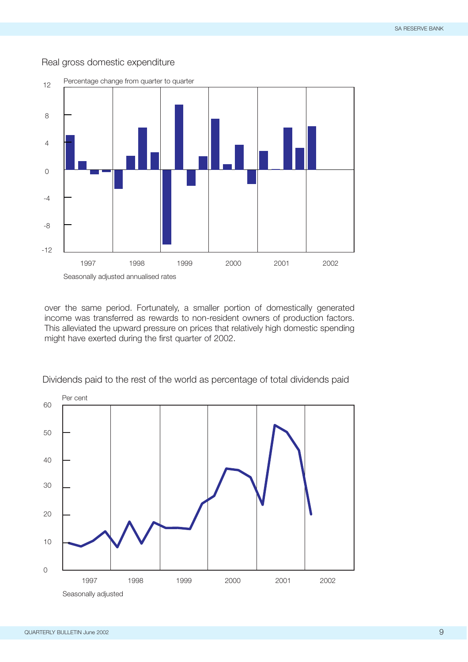

## Real gross domestic expenditure

over the same period. Fortunately, a smaller portion of domestically generated income was transferred as rewards to non-resident owners of production factors. This alleviated the upward pressure on prices that relatively high domestic spending might have exerted during the first quarter of 2002.



Dividends paid to the rest of the world as percentage of total dividends paid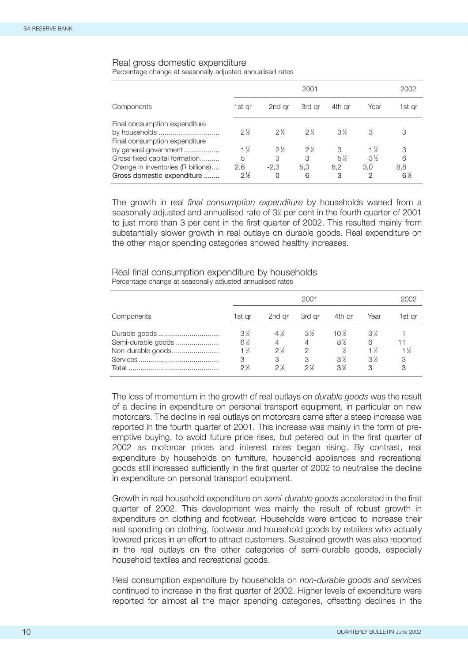#### Real gross domestic expenditure

Percentage change at seasonally adjusted annualised rates

|                                                                                 | 2001           |        |                |        |                |                |
|---------------------------------------------------------------------------------|----------------|--------|----------------|--------|----------------|----------------|
| Components                                                                      | 1st gr         | 2nd ar | 3rd ar         | 4th ar | Year           | 1st ar         |
| Final consumption expenditure<br>by households<br>Final consumption expenditure | $2\frac{1}{6}$ | $2\%$  | $2\%$          | $3\%$  | 3              | 3              |
| by general government                                                           | $1\frac{1}{2}$ | $2\%$  | $2\frac{1}{6}$ | 3      | $1\frac{1}{2}$ | 3              |
| Gross fixed capital formation                                                   | 5              | 3      | 3              | $5\%$  | $3\%$          | 6              |
| Change in inventories (R billions)                                              | 2,6            | $-2.3$ | 5.3            | 6.2    | 3.0            | 8,8            |
| Gross domestic expenditure                                                      | $2\frac{1}{6}$ |        | 6              | 3      | 2              | $6\frac{1}{2}$ |

The growth in real *final consumption expenditure* by households waned from a seasonally adjusted and annualised rate of 3<sup>1</sup> per cent in the fourth quarter of 2001 to just more than 3 per cent in the first quarter of 2002. This resulted mainly from substantially slower growth in real outlays on durable goods. Real expenditure on the other major spending categories showed healthy increases.

Real final consumption expenditure by households Percentage change at seasonally adjusted annualised rates

|                                         |                                                         |                                                                   | 2001                                       |                                        |                                | 2002               |
|-----------------------------------------|---------------------------------------------------------|-------------------------------------------------------------------|--------------------------------------------|----------------------------------------|--------------------------------|--------------------|
| Components                              | 1st ar                                                  | 2nd ar                                                            | 3rd ar                                     | 4th ar                                 | Year                           | 1st ar             |
| Semi-durable goods<br>Non-durable goods | $3\%$<br>$6\frac{1}{2}$<br>$1\frac{1}{2}$<br>3<br>$2\%$ | $-4\frac{1}{2}$<br>$\overline{4}$<br>$2\frac{1}{6}$<br>3<br>$2\%$ | $3\%$<br>$\overline{4}$<br>2<br>3<br>$2\%$ | $10\%$<br>$8\%$<br>℅<br>$3\%$<br>$3\%$ | $3\%$<br>6<br>1%<br>$3\%$<br>3 | 11<br>1½<br>3<br>3 |

The loss of momentum in the growth of real outlays on *durable goods* was the result of a decline in expenditure on personal transport equipment, in particular on new motorcars. The decline in real outlays on motorcars came after a steep increase was reported in the fourth quarter of 2001. This increase was mainly in the form of preemptive buying, to avoid future price rises, but petered out in the first quarter of 2002 as motorcar prices and interest rates began rising. By contrast, real expenditure by households on furniture, household appliances and recreational goods still increased sufficiently in the first quarter of 2002 to neutralise the decline in expenditure on personal transport equipment.

Growth in real household expenditure on *semi-durable goods* accelerated in the first quarter of 2002. This development was mainly the result of robust growth in expenditure on clothing and footwear. Households were enticed to increase their real spending on clothing, footwear and household goods by retailers who actually lowered prices in an effort to attract customers. Sustained growth was also reported in the real outlays on the other categories of semi-durable goods, especially household textiles and recreational goods.

Real consumption expenditure by households on *non-durable goods and services* continued to increase in the first quarter of 2002. Higher levels of expenditure were reported for almost all the major spending categories, offsetting declines in the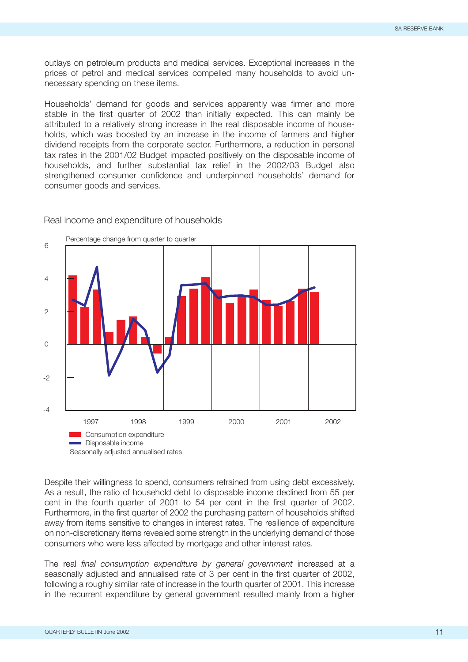outlays on petroleum products and medical services. Exceptional increases in the prices of petrol and medical services compelled many households to avoid unnecessary spending on these items.

Households' demand for goods and services apparently was firmer and more stable in the first quarter of 2002 than initially expected. This can mainly be attributed to a relatively strong increase in the real disposable income of households, which was boosted by an increase in the income of farmers and higher dividend receipts from the corporate sector. Furthermore, a reduction in personal tax rates in the 2001/02 Budget impacted positively on the disposable income of households, and further substantial tax relief in the 2002/03 Budget also strengthened consumer confidence and underpinned households' demand for consumer goods and services.



Real income and expenditure of households

Despite their willingness to spend, consumers refrained from using debt excessively. As a result, the ratio of household debt to disposable income declined from 55 per cent in the fourth quarter of 2001 to 54 per cent in the first quarter of 2002. Furthermore, in the first quarter of 2002 the purchasing pattern of households shifted away from items sensitive to changes in interest rates. The resilience of expenditure on non-discretionary items revealed some strength in the underlying demand of those consumers who were less affected by mortgage and other interest rates.

The real *final consumption expenditure by general government* increased at a seasonally adjusted and annualised rate of 3 per cent in the first quarter of 2002, following a roughly similar rate of increase in the fourth quarter of 2001. This increase in the recurrent expenditure by general government resulted mainly from a higher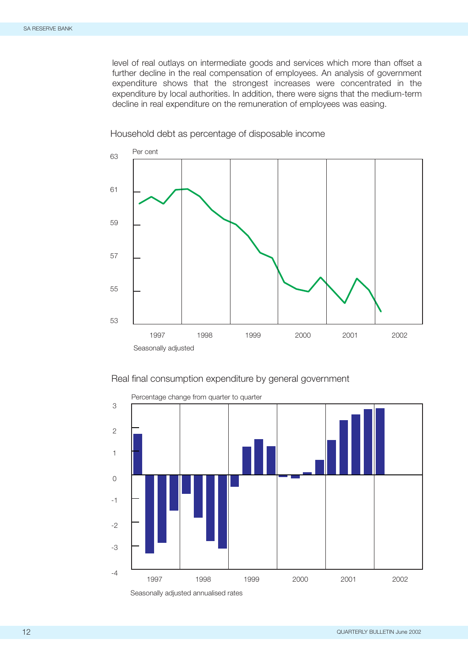level of real outlays on intermediate goods and services which more than offset a further decline in the real compensation of employees. An analysis of government expenditure shows that the strongest increases were concentrated in the expenditure by local authorities. In addition, there were signs that the medium-term decline in real expenditure on the remuneration of employees was easing.

#### Household debt as percentage of disposable income



### Real final consumption expenditure by general government

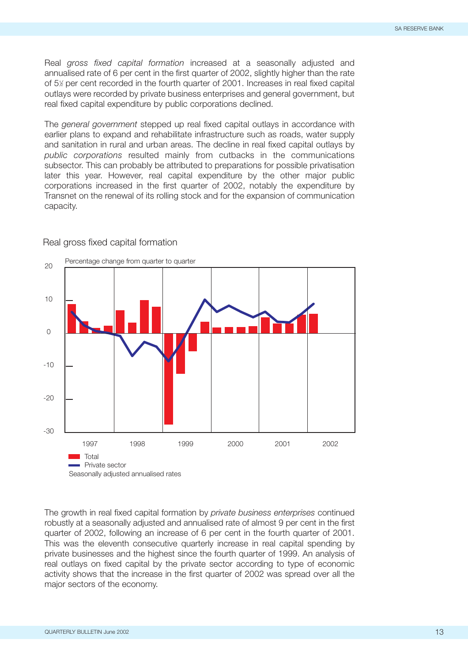Real *gross fixed capital formation* increased at a seasonally adjusted and annualised rate of 6 per cent in the first quarter of 2002, slightly higher than the rate of 5½ per cent recorded in the fourth quarter of 2001. Increases in real fixed capital outlays were recorded by private business enterprises and general government, but real fixed capital expenditure by public corporations declined.

The *general government* stepped up real fixed capital outlays in accordance with earlier plans to expand and rehabilitate infrastructure such as roads, water supply and sanitation in rural and urban areas. The decline in real fixed capital outlays by *public corporations* resulted mainly from cutbacks in the communications subsector. This can probably be attributed to preparations for possible privatisation later this year. However, real capital expenditure by the other major public corporations increased in the first quarter of 2002, notably the expenditure by Transnet on the renewal of its rolling stock and for the expansion of communication capacity.



#### Real gross fixed capital formation

The growth in real fixed capital formation by *private business enterprises* continued robustly at a seasonally adjusted and annualised rate of almost 9 per cent in the first quarter of 2002, following an increase of 6 per cent in the fourth quarter of 2001. This was the eleventh consecutive quarterly increase in real capital spending by private businesses and the highest since the fourth quarter of 1999. An analysis of real outlays on fixed capital by the private sector according to type of economic activity shows that the increase in the first quarter of 2002 was spread over all the major sectors of the economy.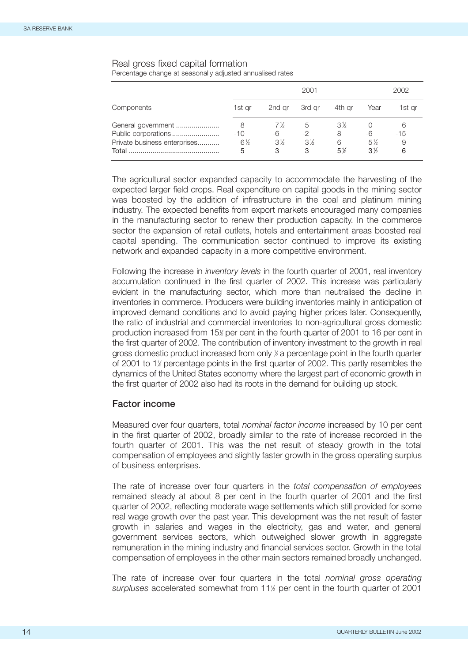## Real gross fixed capital formation

|            |                | 2001       |            |                | 2002       |
|------------|----------------|------------|------------|----------------|------------|
| 1st ar     | 2nd ar         | 3rd gr     | 4th ar     | Year           | 1st ar     |
| 8          | $7\frac{1}{2}$ | b          | $3\%$      |                | 6<br>$-15$ |
| $6\%$<br>5 | $3\%$<br>3     | $3\%$<br>3 | 6<br>$5\%$ | $5\%$<br>$3\%$ | 9<br>6     |
|            | $-10$          | -6         | $-2$       | 8              | -6         |

Percentage change at seasonally adjusted annualised rates

The agricultural sector expanded capacity to accommodate the harvesting of the expected larger field crops. Real expenditure on capital goods in the mining sector was boosted by the addition of infrastructure in the coal and platinum mining industry. The expected benefits from export markets encouraged many companies in the manufacturing sector to renew their production capacity. In the commerce sector the expansion of retail outlets, hotels and entertainment areas boosted real capital spending. The communication sector continued to improve its existing network and expanded capacity in a more competitive environment.

Following the increase in *inventory levels* in the fourth quarter of 2001, real inventory accumulation continued in the first quarter of 2002. This increase was particularly evident in the manufacturing sector, which more than neutralised the decline in inventories in commerce. Producers were building inventories mainly in anticipation of improved demand conditions and to avoid paying higher prices later. Consequently, the ratio of industrial and commercial inventories to non-agricultural gross domestic production increased from 15<sup> $\chi$ </sup> per cent in the fourth quarter of 2001 to 16 per cent in the first quarter of 2002. The contribution of inventory investment to the growth in real gross domestic product increased from only ½ a percentage point in the fourth quarter of 2001 to 1<sup>1</sup>/<sub>2</sub> percentage points in the first quarter of 2002. This partly resembles the dynamics of the United States economy where the largest part of economic growth in the first quarter of 2002 also had its roots in the demand for building up stock.

## **Factor income**

Measured over four quarters, total *nominal factor income* increased by 10 per cent in the first quarter of 2002, broadly similar to the rate of increase recorded in the fourth quarter of 2001. This was the net result of steady growth in the total compensation of employees and slightly faster growth in the gross operating surplus of business enterprises.

The rate of increase over four quarters in the *total compensation of employees* remained steady at about 8 per cent in the fourth quarter of 2001 and the first quarter of 2002, reflecting moderate wage settlements which still provided for some real wage growth over the past year. This development was the net result of faster growth in salaries and wages in the electricity, gas and water, and general government services sectors, which outweighed slower growth in aggregate remuneration in the mining industry and financial services sector. Growth in the total compensation of employees in the other main sectors remained broadly unchanged.

The rate of increase over four quarters in the total *nominal gross operating* surpluses accelerated somewhat from 11<sup>1</sup> per cent in the fourth quarter of 2001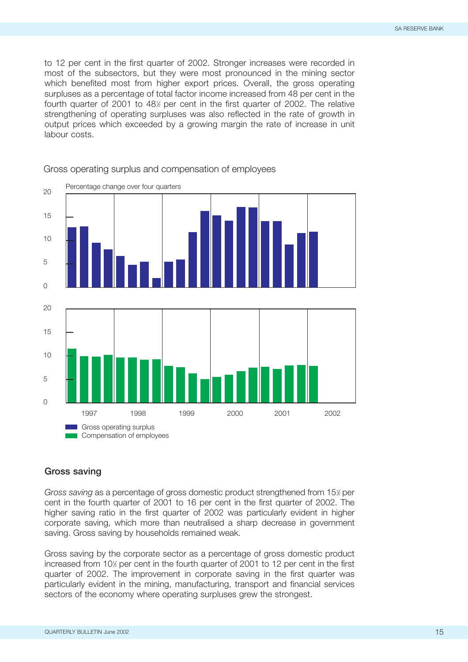to 12 per cent in the first quarter of 2002. Stronger increases were recorded in most of the subsectors, but they were most pronounced in the mining sector which benefited most from higher export prices. Overall, the gross operating surpluses as a percentage of total factor income increased from 48 per cent in the fourth quarter of 2001 to 48<sup>1</sup>/<sub>2</sub> per cent in the first quarter of 2002. The relative strengthening of operating surpluses was also reflected in the rate of growth in output prices which exceeded by a growing margin the rate of increase in unit labour costs.



## Gross operating surplus and compensation of employees

#### **Gross saving**

Gross saving as a percentage of gross domestic product strengthened from 15<sup>1</sup>/<sub>2</sub> per cent in the fourth quarter of 2001 to 16 per cent in the first quarter of 2002. The higher saving ratio in the first quarter of 2002 was particularly evident in higher corporate saving, which more than neutralised a sharp decrease in government saving. Gross saving by households remained weak.

Gross saving by the corporate sector as a percentage of gross domestic product increased from 10½ per cent in the fourth quarter of 2001 to 12 per cent in the first quarter of 2002. The improvement in corporate saving in the first quarter was particularly evident in the mining, manufacturing, transport and financial services sectors of the economy where operating surpluses grew the strongest.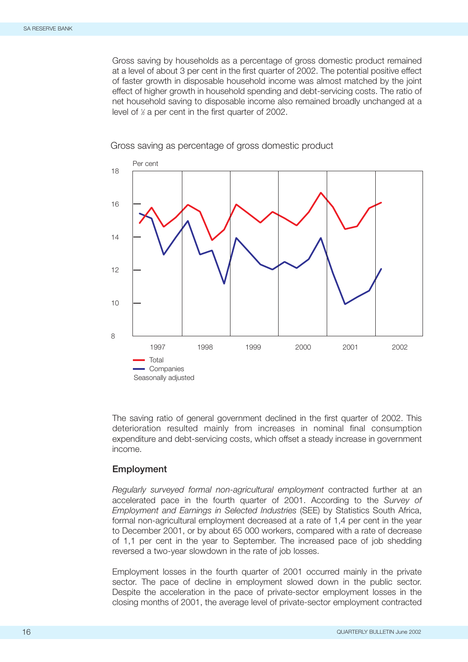Gross saving by households as a percentage of gross domestic product remained at a level of about 3 per cent in the first quarter of 2002. The potential positive effect of faster growth in disposable household income was almost matched by the joint effect of higher growth in household spending and debt-servicing costs. The ratio of net household saving to disposable income also remained broadly unchanged at a level of 1 ⁄2 a per cent in the first quarter of 2002.



#### Gross saving as percentage of gross domestic product

The saving ratio of general government declined in the first quarter of 2002. This deterioration resulted mainly from increases in nominal final consumption expenditure and debt-servicing costs, which offset a steady increase in government income.

### **Employment**

*Regularly surveyed formal non-agricultural employment* contracted further at an accelerated pace in the fourth quarter of 2001. According to the *Survey of Employment and Earnings in Selected Industries* (SEE) by Statistics South Africa, formal non-agricultural employment decreased at a rate of 1,4 per cent in the year to December 2001, or by about 65 000 workers, compared with a rate of decrease of 1,1 per cent in the year to September. The increased pace of job shedding reversed a two-year slowdown in the rate of job losses.

Employment losses in the fourth quarter of 2001 occurred mainly in the private sector. The pace of decline in employment slowed down in the public sector. Despite the acceleration in the pace of private-sector employment losses in the closing months of 2001, the average level of private-sector employment contracted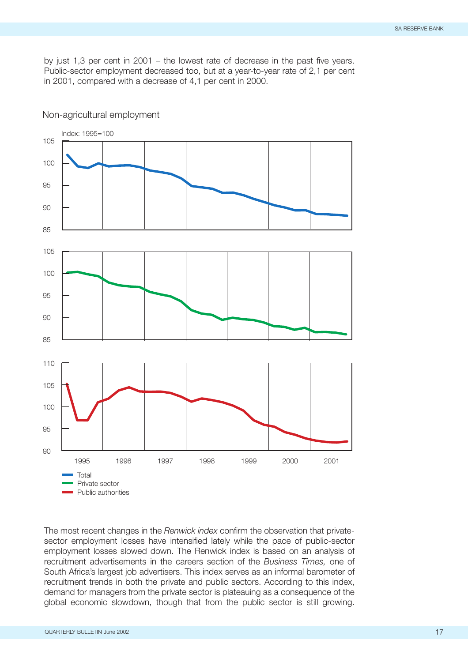by just 1,3 per cent in 2001 – the lowest rate of decrease in the past five years. Public-sector employment decreased too, but at a year-to-year rate of 2,1 per cent in 2001, compared with a decrease of 4,1 per cent in 2000.



Non-agricultural employment

The most recent changes in the *Renwick index* confirm the observation that privatesector employment losses have intensified lately while the pace of public-sector employment losses slowed down. The Renwick index is based on an analysis of recruitment advertisements in the careers section of the *Business Times,* one of South Africa's largest job advertisers. This index serves as an informal barometer of recruitment trends in both the private and public sectors. According to this index, demand for managers from the private sector is plateauing as a consequence of the global economic slowdown, though that from the public sector is still growing.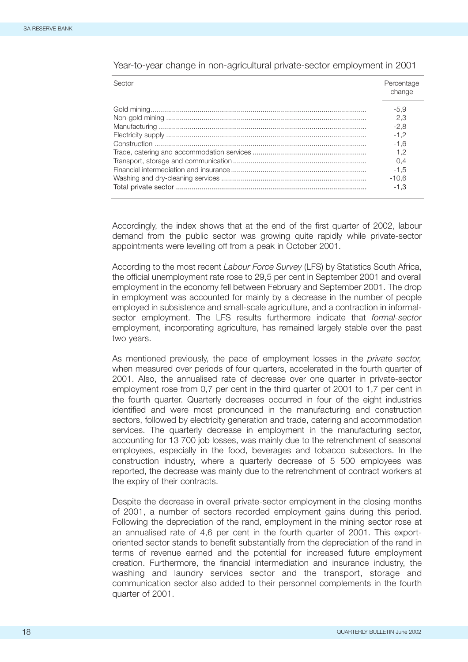| Sector | Percentage<br>change |
|--------|----------------------|
|        | $-5.9$               |
|        | 2.3                  |
|        | $-2.8$               |
|        | $-1.2$               |
|        | $-1.6$               |
|        | 1.2                  |
|        | 0.4                  |
|        | $-1.5$               |
|        | $-10.6$              |
|        | -1.3                 |

Year-to-year change in non-agricultural private-sector employment in 2001

Accordingly, the index shows that at the end of the first quarter of 2002, labour demand from the public sector was growing quite rapidly while private-sector appointments were levelling off from a peak in October 2001.

According to the most recent *Labour Force Survey* (LFS) by Statistics South Africa, the official unemployment rate rose to 29,5 per cent in September 2001 and overall employment in the economy fell between February and September 2001. The drop in employment was accounted for mainly by a decrease in the number of people employed in subsistence and small-scale agriculture, and a contraction in informalsector employment. The LFS results furthermore indicate that *formal-sector* employment, incorporating agriculture, has remained largely stable over the past two years.

As mentioned previously, the pace of employment losses in the *private sector,* when measured over periods of four quarters, accelerated in the fourth quarter of 2001. Also, the annualised rate of decrease over one quarter in private-sector employment rose from 0,7 per cent in the third quarter of 2001 to 1,7 per cent in the fourth quarter. Quarterly decreases occurred in four of the eight industries identified and were most pronounced in the manufacturing and construction sectors, followed by electricity generation and trade, catering and accommodation services. The quarterly decrease in employment in the manufacturing sector, accounting for 13 700 job losses, was mainly due to the retrenchment of seasonal employees, especially in the food, beverages and tobacco subsectors. In the construction industry, where a quarterly decrease of 5 500 employees was reported, the decrease was mainly due to the retrenchment of contract workers at the expiry of their contracts.

Despite the decrease in overall private-sector employment in the closing months of 2001, a number of sectors recorded employment gains during this period. Following the depreciation of the rand, employment in the mining sector rose at an annualised rate of 4,6 per cent in the fourth quarter of 2001. This exportoriented sector stands to benefit substantially from the depreciation of the rand in terms of revenue earned and the potential for increased future employment creation. Furthermore, the financial intermediation and insurance industry, the washing and laundry services sector and the transport, storage and communication sector also added to their personnel complements in the fourth quarter of 2001.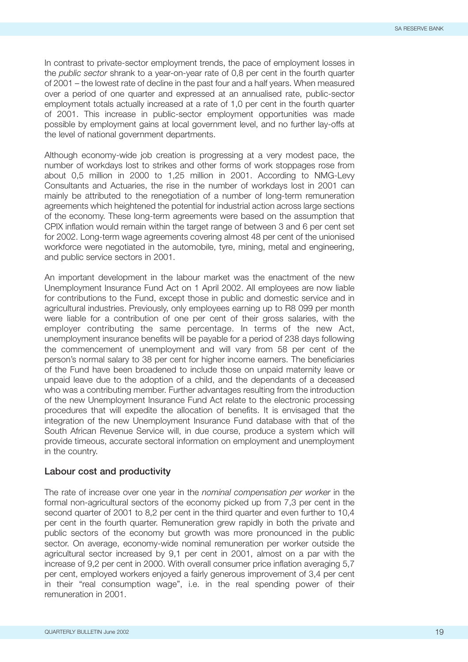In contrast to private-sector employment trends, the pace of employment losses in the *public sector* shrank to a year-on-year rate of 0,8 per cent in the fourth quarter of 2001 – the lowest rate of decline in the past four and a half years. When measured over a period of one quarter and expressed at an annualised rate, public-sector employment totals actually increased at a rate of 1,0 per cent in the fourth quarter of 2001. This increase in public-sector employment opportunities was made possible by employment gains at local government level, and no further lay-offs at the level of national government departments.

Although economy-wide job creation is progressing at a very modest pace, the number of workdays lost to strikes and other forms of work stoppages rose from about 0,5 million in 2000 to 1,25 million in 2001. According to NMG-Levy Consultants and Actuaries, the rise in the number of workdays lost in 2001 can mainly be attributed to the renegotiation of a number of long-term remuneration agreements which heightened the potential for industrial action across large sections of the economy. These long-term agreements were based on the assumption that CPIX inflation would remain within the target range of between 3 and 6 per cent set for 2002. Long-term wage agreements covering almost 48 per cent of the unionised workforce were negotiated in the automobile, tyre, mining, metal and engineering, and public service sectors in 2001.

An important development in the labour market was the enactment of the new Unemployment Insurance Fund Act on 1 April 2002. All employees are now liable for contributions to the Fund, except those in public and domestic service and in agricultural industries. Previously, only employees earning up to R8 099 per month were liable for a contribution of one per cent of their gross salaries, with the employer contributing the same percentage. In terms of the new Act, unemployment insurance benefits will be payable for a period of 238 days following the commencement of unemployment and will vary from 58 per cent of the person's normal salary to 38 per cent for higher income earners. The beneficiaries of the Fund have been broadened to include those on unpaid maternity leave or unpaid leave due to the adoption of a child, and the dependants of a deceased who was a contributing member. Further advantages resulting from the introduction of the new Unemployment Insurance Fund Act relate to the electronic processing procedures that will expedite the allocation of benefits. It is envisaged that the integration of the new Unemployment Insurance Fund database with that of the South African Revenue Service will, in due course, produce a system which will provide timeous, accurate sectoral information on employment and unemployment in the country.

#### **Labour cost and productivity**

The rate of increase over one year in the *nominal compensation per worker* in the formal non-agricultural sectors of the economy picked up from 7,3 per cent in the second quarter of 2001 to 8,2 per cent in the third quarter and even further to 10,4 per cent in the fourth quarter. Remuneration grew rapidly in both the private and public sectors of the economy but growth was more pronounced in the public sector. On average, economy-wide nominal remuneration per worker outside the agricultural sector increased by 9,1 per cent in 2001, almost on a par with the increase of 9,2 per cent in 2000. With overall consumer price inflation averaging 5,7 per cent, employed workers enjoyed a fairly generous improvement of 3,4 per cent in their "real consumption wage", i.e. in the real spending power of their remuneration in 2001.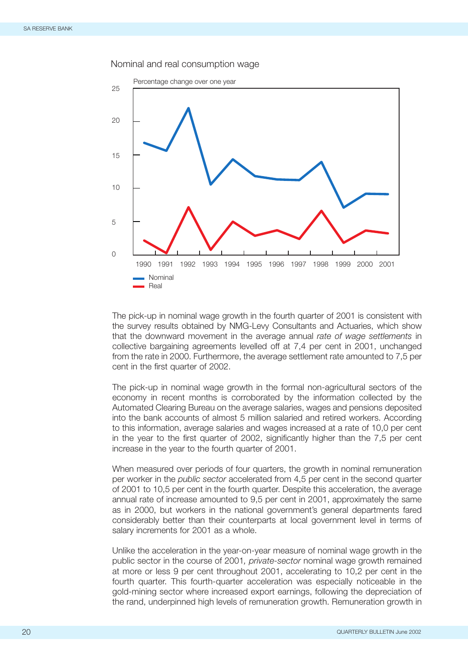



The pick-up in nominal wage growth in the fourth quarter of 2001 is consistent with the survey results obtained by NMG-Levy Consultants and Actuaries, which show that the downward movement in the average annual *rate of wage settlements* in collective bargaining agreements levelled off at 7,4 per cent in 2001, unchanged from the rate in 2000. Furthermore, the average settlement rate amounted to 7,5 per cent in the first quarter of 2002.

The pick-up in nominal wage growth in the formal non-agricultural sectors of the economy in recent months is corroborated by the information collected by the Automated Clearing Bureau on the average salaries, wages and pensions deposited into the bank accounts of almost 5 million salaried and retired workers. According to this information, average salaries and wages increased at a rate of 10,0 per cent in the year to the first quarter of 2002, significantly higher than the 7,5 per cent increase in the year to the fourth quarter of 2001.

When measured over periods of four quarters, the growth in nominal remuneration per worker in the *public sector* accelerated from 4,5 per cent in the second quarter of 2001 to 10,5 per cent in the fourth quarter. Despite this acceleration, the average annual rate of increase amounted to 9,5 per cent in 2001, approximately the same as in 2000, but workers in the national government's general departments fared considerably better than their counterparts at local government level in terms of salary increments for 2001 as a whole.

Unlike the acceleration in the year-on-year measure of nominal wage growth in the public sector in the course of 2001*, private-sector* nominal wage growth remained at more or less 9 per cent throughout 2001, accelerating to 10,2 per cent in the fourth quarter. This fourth-quarter acceleration was especially noticeable in the gold-mining sector where increased export earnings, following the depreciation of the rand, underpinned high levels of remuneration growth. Remuneration growth in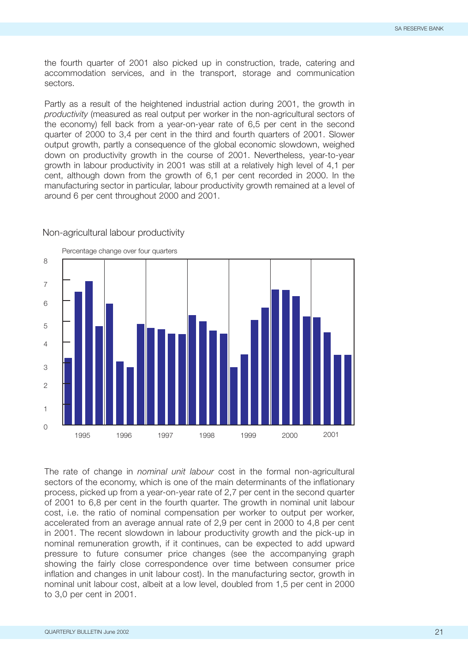the fourth quarter of 2001 also picked up in construction, trade, catering and accommodation services, and in the transport, storage and communication sectors.

Partly as a result of the heightened industrial action during 2001, the growth in *productivity* (measured as real output per worker in the non-agricultural sectors of the economy) fell back from a year-on-year rate of 6,5 per cent in the second quarter of 2000 to 3,4 per cent in the third and fourth quarters of 2001. Slower output growth, partly a consequence of the global economic slowdown, weighed down on productivity growth in the course of 2001. Nevertheless, year-to-year growth in labour productivity in 2001 was still at a relatively high level of 4,1 per cent, although down from the growth of 6,1 per cent recorded in 2000. In the manufacturing sector in particular, labour productivity growth remained at a level of around 6 per cent throughout 2000 and 2001.



### Non-agricultural labour productivity

The rate of change in *nominal unit labour* cost in the formal non-agricultural sectors of the economy, which is one of the main determinants of the inflationary process, picked up from a year-on-year rate of 2,7 per cent in the second quarter of 2001 to 6,8 per cent in the fourth quarter. The growth in nominal unit labour cost, i.e. the ratio of nominal compensation per worker to output per worker, accelerated from an average annual rate of 2,9 per cent in 2000 to 4,8 per cent in 2001. The recent slowdown in labour productivity growth and the pick-up in nominal remuneration growth, if it continues, can be expected to add upward pressure to future consumer price changes (see the accompanying graph showing the fairly close correspondence over time between consumer price inflation and changes in unit labour cost). In the manufacturing sector, growth in nominal unit labour cost, albeit at a low level, doubled from 1,5 per cent in 2000 to 3,0 per cent in 2001.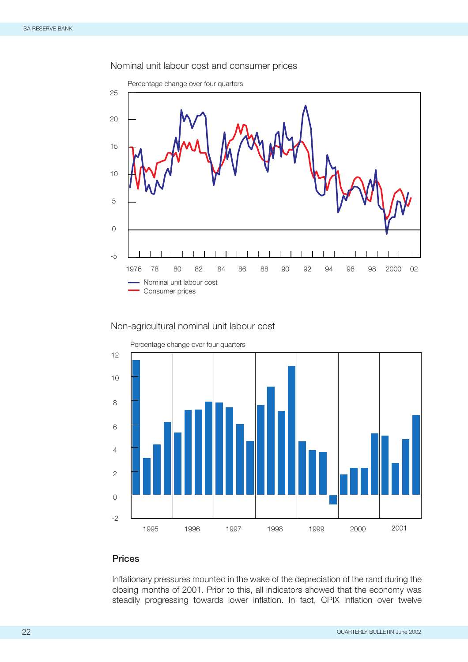

#### Nominal unit labour cost and consumer prices

#### Non-agricultural nominal unit labour cost



Percentage change over four quarters

## **Prices**

Inflationary pressures mounted in the wake of the depreciation of the rand during the closing months of 2001. Prior to this, all indicators showed that the economy was steadily progressing towards lower inflation. In fact, CPIX inflation over twelve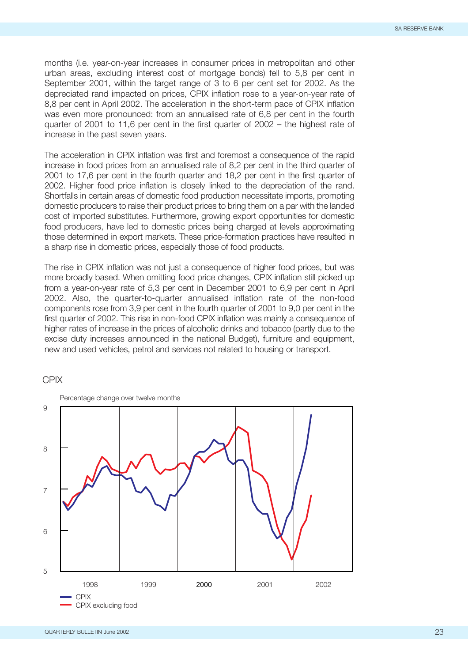months (i.e. year-on-year increases in consumer prices in metropolitan and other urban areas, excluding interest cost of mortgage bonds) fell to 5,8 per cent in September 2001, within the target range of 3 to 6 per cent set for 2002. As the depreciated rand impacted on prices, CPIX inflation rose to a year-on-year rate of 8,8 per cent in April 2002. The acceleration in the short-term pace of CPIX inflation was even more pronounced: from an annualised rate of 6,8 per cent in the fourth quarter of 2001 to 11,6 per cent in the first quarter of 2002 – the highest rate of increase in the past seven years.

The acceleration in CPIX inflation was first and foremost a consequence of the rapid increase in food prices from an annualised rate of 8,2 per cent in the third quarter of 2001 to 17,6 per cent in the fourth quarter and 18,2 per cent in the first quarter of 2002. Higher food price inflation is closely linked to the depreciation of the rand. Shortfalls in certain areas of domestic food production necessitate imports, prompting domestic producers to raise their product prices to bring them on a par with the landed cost of imported substitutes. Furthermore, growing export opportunities for domestic food producers, have led to domestic prices being charged at levels approximating those determined in export markets. These price-formation practices have resulted in a sharp rise in domestic prices, especially those of food products.

The rise in CPIX inflation was not just a consequence of higher food prices, but was more broadly based. When omitting food price changes, CPIX inflation still picked up from a year-on-year rate of 5,3 per cent in December 2001 to 6,9 per cent in April 2002. Also, the quarter-to-quarter annualised inflation rate of the non-food components rose from 3,9 per cent in the fourth quarter of 2001 to 9,0 per cent in the first quarter of 2002. This rise in non-food CPIX inflation was mainly a consequence of higher rates of increase in the prices of alcoholic drinks and tobacco (partly due to the excise duty increases announced in the national Budget), furniture and equipment, new and used vehicles, petrol and services not related to housing or transport.

#### CPIX

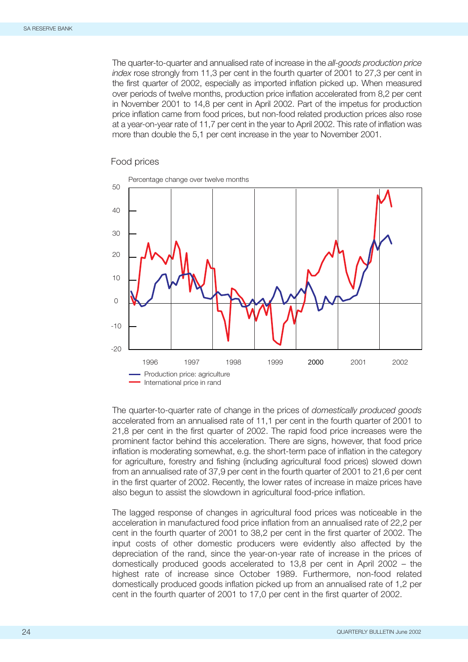The quarter-to-quarter and annualised rate of increase in the *all-goods production price index* rose strongly from 11,3 per cent in the fourth quarter of 2001 to 27,3 per cent in the first quarter of 2002, especially as imported inflation picked up. When measured over periods of twelve months, production price inflation accelerated from 8,2 per cent in November 2001 to 14,8 per cent in April 2002. Part of the impetus for production price inflation came from food prices, but non-food related production prices also rose at a year-on-year rate of 11,7 per cent in the year to April 2002. This rate of inflation was more than double the 5,1 per cent increase in the year to November 2001.

## Food prices



The quarter-to-quarter rate of change in the prices of *domestically produced goods* accelerated from an annualised rate of 11,1 per cent in the fourth quarter of 2001 to 21,8 per cent in the first quarter of 2002. The rapid food price increases were the prominent factor behind this acceleration. There are signs, however, that food price inflation is moderating somewhat, e.g. the short-term pace of inflation in the category for agriculture, forestry and fishing (including agricultural food prices) slowed down from an annualised rate of 37,9 per cent in the fourth quarter of 2001 to 21,6 per cent in the first quarter of 2002. Recently, the lower rates of increase in maize prices have also begun to assist the slowdown in agricultural food-price inflation.

The lagged response of changes in agricultural food prices was noticeable in the acceleration in manufactured food price inflation from an annualised rate of 22,2 per cent in the fourth quarter of 2001 to 38,2 per cent in the first quarter of 2002. The input costs of other domestic producers were evidently also affected by the depreciation of the rand, since the year-on-year rate of increase in the prices of domestically produced goods accelerated to 13,8 per cent in April 2002 – the highest rate of increase since October 1989. Furthermore, non-food related domestically produced goods inflation picked up from an annualised rate of 1,2 per cent in the fourth quarter of 2001 to 17,0 per cent in the first quarter of 2002.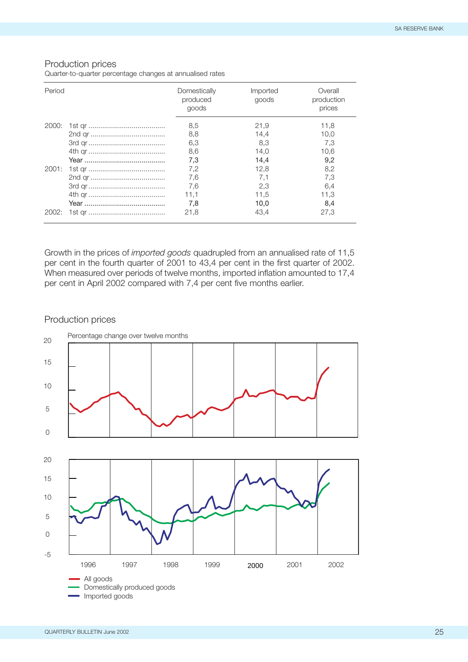#### Production prices

Quarter-to-quarter percentage changes at annualised rates

| Period | Domestically<br>produced<br>goods | Imported<br>goods | Overall<br>production<br>prices |
|--------|-----------------------------------|-------------------|---------------------------------|
| 2000:  | 8,5                               | 21.9              | 11.8                            |
|        | 8.8                               | 14.4              | 10.0                            |
|        | 6.3                               | 8.3               | 7.3                             |
|        | 8,6                               | 14.0              | 10.6                            |
|        | 7,3                               | 14.4              | 9.2                             |
| 2001:  | 7.2                               | 12.8              | 8.2                             |
|        | 7.6                               | 7.1               | 7.3                             |
|        | 7,6                               | 2.3               | 6.4                             |
|        | 11.1                              | 11.5              | 11.3                            |
|        | 7,8                               | 10.0              | 8.4                             |
| 2002:  | 21.8                              | 43.4              | 27.3                            |

Growth in the prices of *imported goods* quadrupled from an annualised rate of 11,5 per cent in the fourth quarter of 2001 to 43,4 per cent in the first quarter of 2002. When measured over periods of twelve months, imported inflation amounted to 17,4 per cent in April 2002 compared with 7,4 per cent five months earlier.

## Production prices

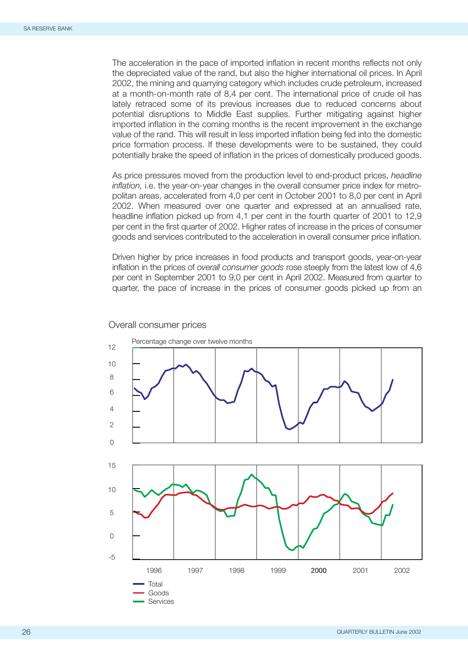The acceleration in the pace of imported inflation in recent months reflects not only the depreciated value of the rand, but also the higher international oil prices. In April 2002, the mining and quarrying category which includes crude petroleum, increased at a month-on-month rate of 8,4 per cent. The international price of crude oil has lately retraced some of its previous increases due to reduced concerns about potential disruptions to Middle East supplies. Further mitigating against higher imported inflation in the coming months is the recent improvement in the exchange value of the rand. This will result in less imported inflation being fed into the domestic price formation process. If these developments were to be sustained, they could potentially brake the speed of inflation in the prices of domestically produced goods.

As price pressures moved from the production level to end-product prices, *headline inflation,* i.e. the year-on-year changes in the overall consumer price index for metropolitan areas, accelerated from 4,0 per cent in October 2001 to 8,0 per cent in April 2002. When measured over one quarter and expressed at an annualised rate, headline inflation picked up from 4,1 per cent in the fourth quarter of 2001 to 12,9 per cent in the first quarter of 2002. Higher rates of increase in the prices of consumer goods and services contributed to the acceleration in overall consumer price inflation.

Driven higher by price increases in food products and transport goods, year-on-year inflation in the prices of *overall consumer goods* rose steeply from the latest low of 4,6 per cent in September 2001 to 9,0 per cent in April 2002. Measured from quarter to quarter, the pace of increase in the prices of consumer goods picked up from an



#### Overall consumer prices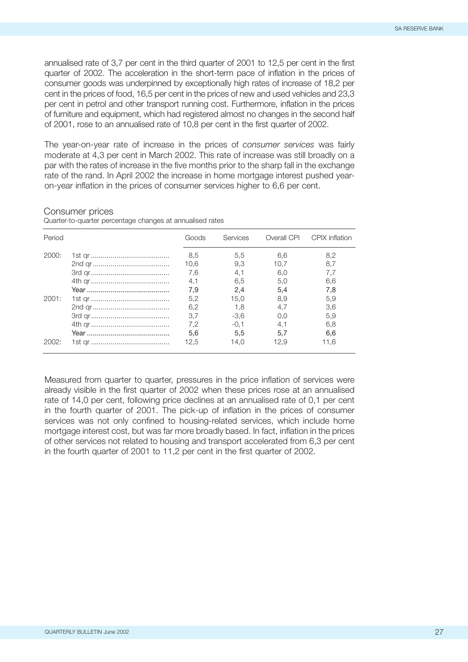annualised rate of 3,7 per cent in the third quarter of 2001 to 12,5 per cent in the first quarter of 2002. The acceleration in the short-term pace of inflation in the prices of consumer goods was underpinned by exceptionally high rates of increase of 18,2 per cent in the prices of food, 16,5 per cent in the prices of new and used vehicles and 23,3 per cent in petrol and other transport running cost. Furthermore, inflation in the prices of furniture and equipment, which had registered almost no changes in the second half of 2001, rose to an annualised rate of 10,8 per cent in the first quarter of 2002.

The year-on-year rate of increase in the prices of *consumer services* was fairly moderate at 4,3 per cent in March 2002. This rate of increase was still broadly on a par with the rates of increase in the five months prior to the sharp fall in the exchange rate of the rand. In April 2002 the increase in home mortgage interest pushed yearon-year inflation in the prices of consumer services higher to 6,6 per cent.

#### Consumer prices

Quarter-to-quarter percentage changes at annualised rates

| Period | Goods | Services | Overall CPI | CPIX inflation |
|--------|-------|----------|-------------|----------------|
| 2000:  | 8,5   | 5,5      | 6.6         | 8,2            |
|        | 10,6  | 9.3      | 10.7        | 8.7            |
|        | 7.6   | 4,1      | 6,0         | 7.7            |
| 2001:  | 4,1   | 6.5      | 5.0         | 6.6            |
|        | 7.9   | 2.4      | 5.4         | 7.8            |
|        | 5.2   | 15.0     | 8.9         | 5.9            |
|        | 6,2   | 1.8      | 4.7         | 3.6            |
|        | 3.7   | $-3.6$   | 0.0         | 5.9            |
|        | 7.2   | $-0.1$   | 4.1         | 6.8            |
| 2002:  | 5,6   | 5.5      | 5.7         | 6.6            |
|        | 12.5  | 14.0     | 12.9        | 11.6           |

Measured from quarter to quarter, pressures in the price inflation of services were already visible in the first quarter of 2002 when these prices rose at an annualised rate of 14,0 per cent, following price declines at an annualised rate of 0,1 per cent in the fourth quarter of 2001. The pick-up of inflation in the prices of consumer services was not only confined to housing-related services, which include home mortgage interest cost, but was far more broadly based. In fact, inflation in the prices of other services not related to housing and transport accelerated from 6,3 per cent in the fourth quarter of 2001 to 11,2 per cent in the first quarter of 2002.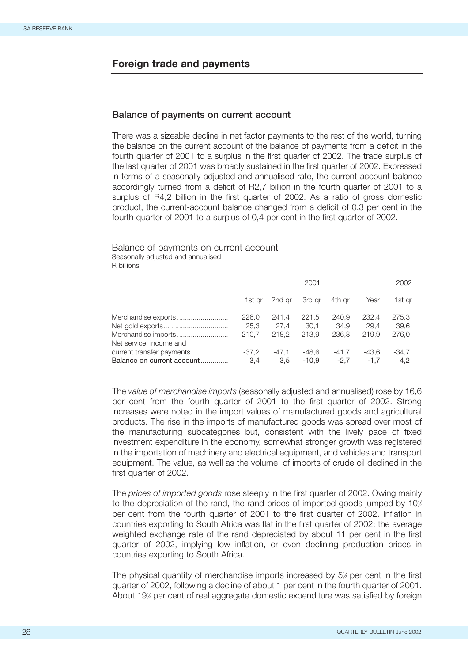## **Foreign trade and payments**

#### **Balance of payments on current account**

There was a sizeable decline in net factor payments to the rest of the world, turning the balance on the current account of the balance of payments from a deficit in the fourth quarter of 2001 to a surplus in the first quarter of 2002. The trade surplus of the last quarter of 2001 was broadly sustained in the first quarter of 2002. Expressed in terms of a seasonally adjusted and annualised rate, the current-account balance accordingly turned from a deficit of R2,7 billion in the fourth quarter of 2001 to a surplus of R4,2 billion in the first quarter of 2002. As a ratio of gross domestic product, the current-account balance changed from a deficit of 0,3 per cent in the fourth quarter of 2001 to a surplus of 0,4 per cent in the first quarter of 2002.

## Balance of payments on current account Seasonally adjusted and annualised

R billions

|                                                         |                           | 2001                      |                           |                           |                           |                           |  |  |
|---------------------------------------------------------|---------------------------|---------------------------|---------------------------|---------------------------|---------------------------|---------------------------|--|--|
|                                                         | 1st gr                    | 2nd ar                    | 3rd ar                    | 4th ar                    | Year                      | 1st ar                    |  |  |
| Net service, income and                                 | 226,0<br>25.3<br>$-210.7$ | 241.4<br>27.4<br>$-218.2$ | 221.5<br>30.1<br>$-213.9$ | 240.9<br>34.9<br>$-236.8$ | 232.4<br>29.4<br>$-219.9$ | 275,3<br>39,6<br>$-276.0$ |  |  |
| current transfer payments<br>Balance on current account | -37,2<br>3,4              | $-47.1$<br>3,5            | $-48.6$<br>$-10.9$        | $-41,7$<br>$-2,7$         | -43.6<br>$-1.7$           | -34.7<br>4,2              |  |  |

The *value of merchandise imports* (seasonally adjusted and annualised) rose by 16,6 per cent from the fourth quarter of 2001 to the first quarter of 2002. Strong increases were noted in the import values of manufactured goods and agricultural products. The rise in the imports of manufactured goods was spread over most of the manufacturing subcategories but, consistent with the lively pace of fixed investment expenditure in the economy, somewhat stronger growth was registered in the importation of machinery and electrical equipment, and vehicles and transport equipment. The value, as well as the volume, of imports of crude oil declined in the first quarter of 2002.

The *prices of imported goods* rose steeply in the first quarter of 2002. Owing mainly to the depreciation of the rand, the rand prices of imported goods jumped by 10<sup>%</sup> per cent from the fourth quarter of 2001 to the first quarter of 2002. Inflation in countries exporting to South Africa was flat in the first quarter of 2002; the average weighted exchange rate of the rand depreciated by about 11 per cent in the first quarter of 2002, implying low inflation, or even declining production prices in countries exporting to South Africa.

The physical quantity of merchandise imports increased by 5½ per cent in the first quarter of 2002, following a decline of about 1 per cent in the fourth quarter of 2001. About 19<sup>%</sup> per cent of real aggregate domestic expenditure was satisfied by foreign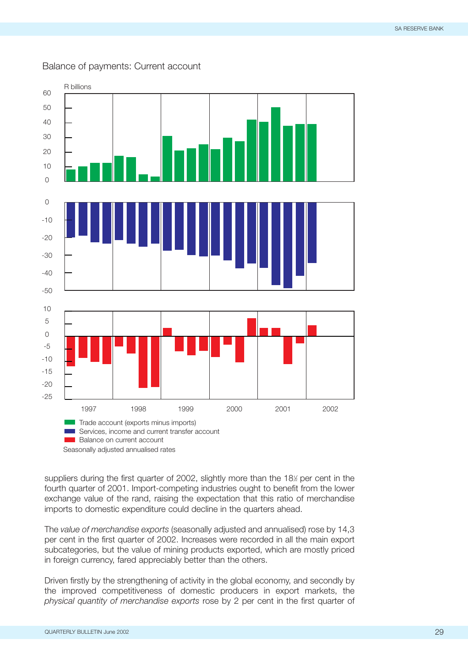

### Balance of payments: Current account

suppliers during the first quarter of 2002, slightly more than the 18<sup>1</sup> per cent in the fourth quarter of 2001. Import-competing industries ought to benefit from the lower exchange value of the rand, raising the expectation that this ratio of merchandise imports to domestic expenditure could decline in the quarters ahead.

The *value of merchandise exports* (seasonally adjusted and annualised) rose by 14,3 per cent in the first quarter of 2002. Increases were recorded in all the main export subcategories, but the value of mining products exported, which are mostly priced in foreign currency, fared appreciably better than the others.

Driven firstly by the strengthening of activity in the global economy, and secondly by the improved competitiveness of domestic producers in export markets, the *physical quantity of merchandise exports* rose by 2 per cent in the first quarter of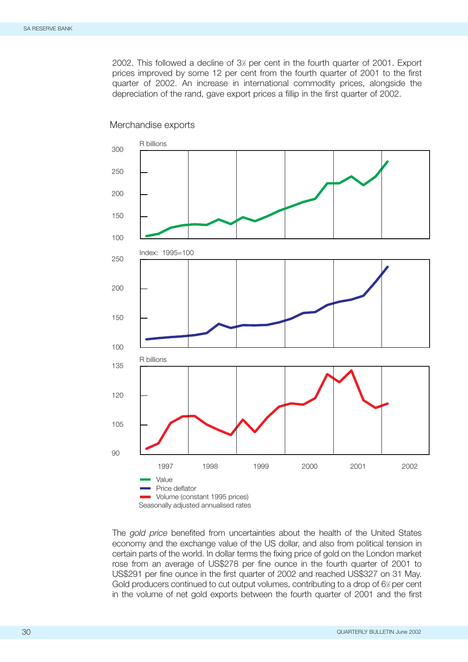2002. This followed a decline of 3<sup>%</sup> per cent in the fourth quarter of 2001. Export prices improved by some 12 per cent from the fourth quarter of 2001 to the first quarter of 2002. An increase in international commodity prices, alongside the depreciation of the rand, gave export prices a fillip in the first quarter of 2002.



Merchandise exports

The *gold price* benefited from uncertainties about the health of the United States economy and the exchange value of the US dollar, and also from political tension in certain parts of the world. In dollar terms the fixing price of gold on the London market rose from an average of US\$278 per fine ounce in the fourth quarter of 2001 to US\$291 per fine ounce in the first quarter of 2002 and reached US\$327 on 31 May. Gold producers continued to cut output volumes, contributing to a drop of 6½ per cent in the volume of net gold exports between the fourth quarter of 2001 and the first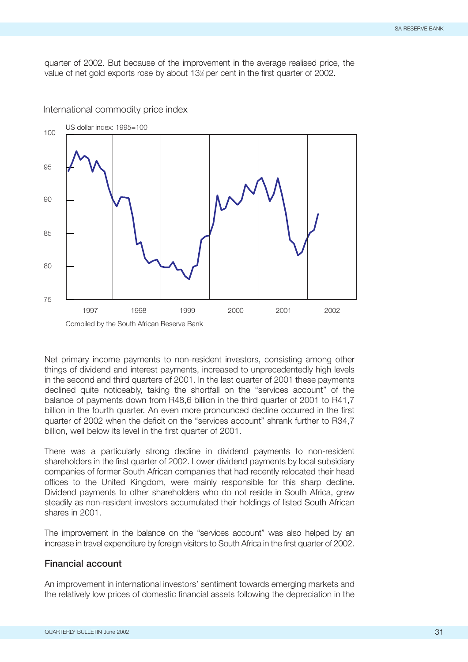quarter of 2002. But because of the improvement in the average realised price, the value of net gold exports rose by about 13<sup> $\chi$ </sup> per cent in the first quarter of 2002.



International commodity price index

Net primary income payments to non-resident investors, consisting among other things of dividend and interest payments, increased to unprecedentedly high levels in the second and third quarters of 2001. In the last quarter of 2001 these payments declined quite noticeably, taking the shortfall on the "services account" of the balance of payments down from R48,6 billion in the third quarter of 2001 to R41,7 billion in the fourth quarter. An even more pronounced decline occurred in the first quarter of 2002 when the deficit on the "services account" shrank further to R34,7 billion, well below its level in the first quarter of 2001.

There was a particularly strong decline in dividend payments to non-resident shareholders in the first quarter of 2002. Lower dividend payments by local subsidiary companies of former South African companies that had recently relocated their head offices to the United Kingdom, were mainly responsible for this sharp decline. Dividend payments to other shareholders who do not reside in South Africa, grew steadily as non-resident investors accumulated their holdings of listed South African shares in 2001.

The improvement in the balance on the "services account" was also helped by an increase in travel expenditure by foreign visitors to South Africa in the first quarter of 2002.

## **Financial account**

An improvement in international investors' sentiment towards emerging markets and the relatively low prices of domestic financial assets following the depreciation in the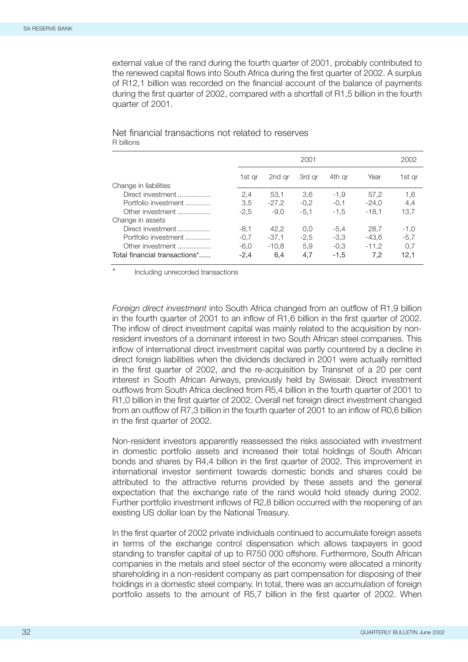external value of the rand during the fourth quarter of 2001, probably contributed to the renewed capital flows into South Africa during the first quarter of 2002. A surplus of R12,1 billion was recorded on the financial account of the balance of payments during the first quarter of 2002, compared with a shortfall of R1,5 billion in the fourth quarter of 2001.

### Net financial transactions not related to reserves R billions

|                               |        |         | 2001   |        |         | 2002   |
|-------------------------------|--------|---------|--------|--------|---------|--------|
|                               | 1st ar | 2nd ar  | 3rd ar | 4th ar | Year    | 1st ar |
| Change in liabilities         |        |         |        |        |         |        |
| Direct investment             | 2.4    | 53.1    | 3.6    | $-1.9$ | 57.2    | 1,6    |
| Portfolio investment          | 3.5    | $-27.2$ | $-0.2$ | $-0.1$ | $-24.0$ | 4,4    |
| Other investment              | $-2.5$ | $-9.0$  | $-5.1$ | $-1.5$ | $-18.1$ | 13.7   |
| Change in assets              |        |         |        |        |         |        |
| Direct investment             | $-8.1$ | 42.2    | 0.0    | $-5.4$ | 28.7    | $-1,0$ |
| Portfolio investment          | $-0.7$ | $-37.1$ | $-2,5$ | $-3.3$ | $-43.6$ | $-5.7$ |
| Other investment              | $-6.0$ | $-10.8$ | 5.9    | $-0.3$ | $-11.2$ | 0.7    |
| Total financial transactions* | $-2.4$ | 6.4     | 4.7    | $-1.5$ | 7,2     | 12.1   |

Including unrecorded transactions

*Foreign direct investment* into South Africa changed from an outflow of R1,9 billion in the fourth quarter of 2001 to an inflow of R1,6 billion in the first quarter of 2002. The inflow of direct investment capital was mainly related to the acquisition by nonresident investors of a dominant interest in two South African steel companies. This inflow of international direct investment capital was partly countered by a decline in direct foreign liabilities when the dividends declared in 2001 were actually remitted in the first quarter of 2002, and the re-acquisition by Transnet of a 20 per cent interest in South African Airways, previously held by Swissair. Direct investment outflows from South Africa declined from R5,4 billion in the fourth quarter of 2001 to R1,0 billion in the first quarter of 2002. Overall net foreign direct investment changed from an outflow of R7,3 billion in the fourth quarter of 2001 to an inflow of R0,6 billion in the first quarter of 2002.

Non-resident investors apparently reassessed the risks associated with investment in domestic portfolio assets and increased their total holdings of South African bonds and shares by R4,4 billion in the first quarter of 2002. This improvement in international investor sentiment towards domestic bonds and shares could be attributed to the attractive returns provided by these assets and the general expectation that the exchange rate of the rand would hold steady during 2002. Further portfolio investment inflows of R2,8 billion occurred with the reopening of an existing US dollar loan by the National Treasury.

In the first quarter of 2002 private individuals continued to accumulate foreign assets in terms of the exchange control dispensation which allows taxpayers in good standing to transfer capital of up to R750 000 offshore. Furthermore, South African companies in the metals and steel sector of the economy were allocated a minority shareholding in a non-resident company as part compensation for disposing of their holdings in a domestic steel company. In total, there was an accumulation of foreign portfolio assets to the amount of R5,7 billion in the first quarter of 2002. When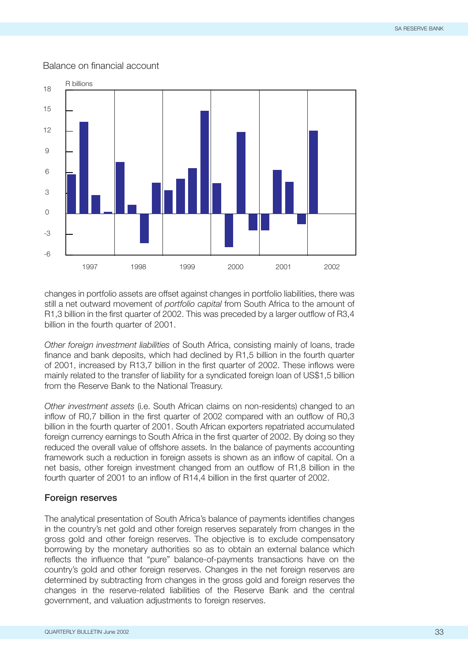### Balance on financial account



changes in portfolio assets are offset against changes in portfolio liabilities, there was still a net outward movement of *portfolio capital* from South Africa to the amount of R1,3 billion in the first quarter of 2002. This was preceded by a larger outflow of R3,4 billion in the fourth quarter of 2001.

*Other foreign investment liabilities* of South Africa, consisting mainly of loans, trade finance and bank deposits, which had declined by R1,5 billion in the fourth quarter of 2001, increased by R13,7 billion in the first quarter of 2002. These inflows were mainly related to the transfer of liability for a syndicated foreign loan of US\$1,5 billion from the Reserve Bank to the National Treasury.

*Other investment assets* (i.e. South African claims on non-residents) changed to an inflow of R0,7 billion in the first quarter of 2002 compared with an outflow of R0,3 billion in the fourth quarter of 2001. South African exporters repatriated accumulated foreign currency earnings to South Africa in the first quarter of 2002. By doing so they reduced the overall value of offshore assets. In the balance of payments accounting framework such a reduction in foreign assets is shown as an inflow of capital. On a net basis, other foreign investment changed from an outflow of R1,8 billion in the fourth quarter of 2001 to an inflow of R14,4 billion in the first quarter of 2002.

#### **Foreign reserves**

The analytical presentation of South Africa's balance of payments identifies changes in the country's net gold and other foreign reserves separately from changes in the gross gold and other foreign reserves. The objective is to exclude compensatory borrowing by the monetary authorities so as to obtain an external balance which reflects the influence that "pure" balance-of-payments transactions have on the country's gold and other foreign reserves. Changes in the net foreign reserves are determined by subtracting from changes in the gross gold and foreign reserves the changes in the reserve-related liabilities of the Reserve Bank and the central government, and valuation adjustments to foreign reserves.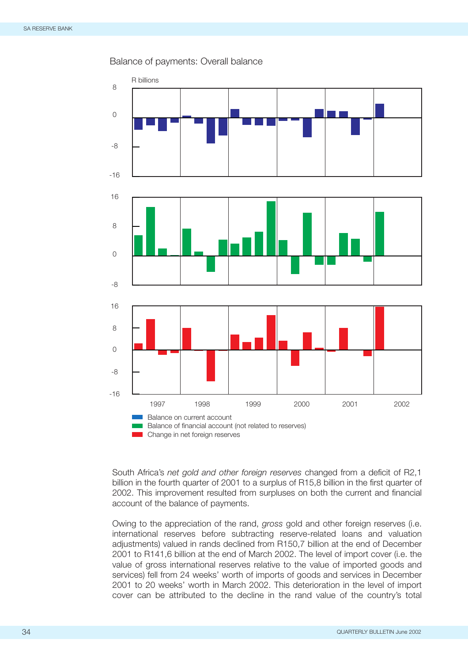Balance of payments: Overall balance



South Africa's *net gold and other foreign reserves* changed from a deficit of R2,1 billion in the fourth quarter of 2001 to a surplus of R15,8 billion in the first quarter of 2002. This improvement resulted from surpluses on both the current and financial account of the balance of payments.

Owing to the appreciation of the rand, *gross* gold and other foreign reserves (i.e. international reserves before subtracting reserve-related loans and valuation adjustments) valued in rands declined from R150,7 billion at the end of December 2001 to R141,6 billion at the end of March 2002. The level of import cover (i.e. the value of gross international reserves relative to the value of imported goods and services) fell from 24 weeks' worth of imports of goods and services in December 2001 to 20 weeks' worth in March 2002. This deterioration in the level of import cover can be attributed to the decline in the rand value of the country's total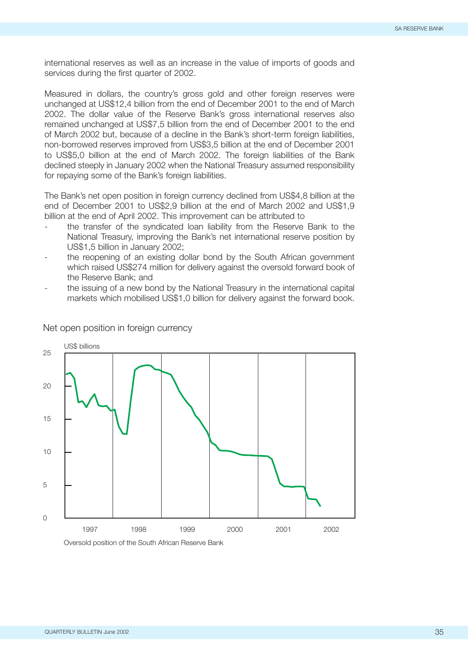international reserves as well as an increase in the value of imports of goods and services during the first quarter of 2002.

Measured in dollars, the country's gross gold and other foreign reserves were unchanged at US\$12,4 billion from the end of December 2001 to the end of March 2002. The dollar value of the Reserve Bank's gross international reserves also remained unchanged at US\$7,5 billion from the end of December 2001 to the end of March 2002 but, because of a decline in the Bank's short-term foreign liabilities, non-borrowed reserves improved from US\$3,5 billion at the end of December 2001 to US\$5,0 billion at the end of March 2002. The foreign liabilities of the Bank declined steeply in January 2002 when the National Treasury assumed responsibility for repaying some of the Bank's foreign liabilities.

The Bank's net open position in foreign currency declined from US\$4,8 billion at the end of December 2001 to US\$2,9 billion at the end of March 2002 and US\$1,9 billion at the end of April 2002. This improvement can be attributed to

- the transfer of the syndicated loan liability from the Reserve Bank to the National Treasury, improving the Bank's net international reserve position by US\$1,5 billion in January 2002;
- the reopening of an existing dollar bond by the South African government which raised US\$274 million for delivery against the oversold forward book of the Reserve Bank; and
- the issuing of a new bond by the National Treasury in the international capital markets which mobilised US\$1,0 billion for delivery against the forward book.



Net open position in foreign currency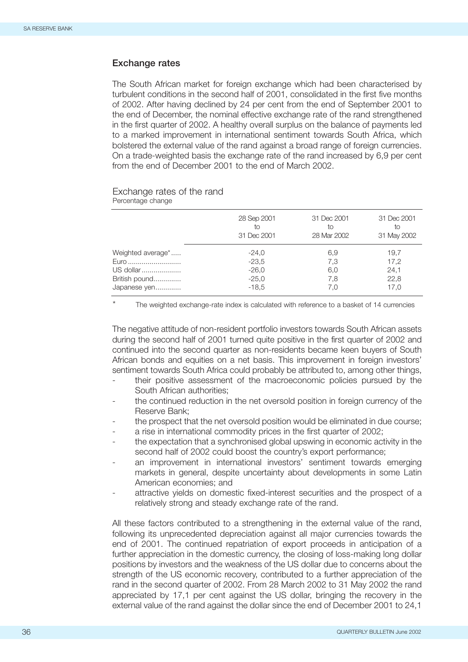#### **Exchange rates**

The South African market for foreign exchange which had been characterised by turbulent conditions in the second half of 2001, consolidated in the first five months of 2002. After having declined by 24 per cent from the end of September 2001 to the end of December, the nominal effective exchange rate of the rand strengthened in the first quarter of 2002. A healthy overall surplus on the balance of payments led to a marked improvement in international sentiment towards South Africa, which bolstered the external value of the rand against a broad range of foreign currencies. On a trade-weighted basis the exchange rate of the rand increased by 6,9 per cent from the end of December 2001 to the end of March 2002.

## Exchange rates of the rand

Percentage change

|                   | 28 Sep 2001 | 31 Dec 2001 | 31 Dec 2001 |
|-------------------|-------------|-------------|-------------|
|                   | tο          | tο          | tο          |
|                   | 31 Dec 2001 | 28 Mar 2002 | 31 May 2002 |
| Weighted average* | $-24,0$     | 6,9         | 19,7        |
| Euro              | $-23,5$     | 7,3         | 17,2        |
| US dollar         | $-26,0$     | 6,0         | 24,1        |
| British pound     | $-25,0$     | 7,8         | 22,8        |
| Japanese yen      | $-18,5$     | 7.0         | 17,0        |

The weighted exchange-rate index is calculated with reference to a basket of 14 currencies

The negative attitude of non-resident portfolio investors towards South African assets during the second half of 2001 turned quite positive in the first quarter of 2002 and continued into the second quarter as non-residents became keen buyers of South African bonds and equities on a net basis. This improvement in foreign investors' sentiment towards South Africa could probably be attributed to, among other things,

- their positive assessment of the macroeconomic policies pursued by the South African authorities;
- the continued reduction in the net oversold position in foreign currency of the Reserve Bank;
- the prospect that the net oversold position would be eliminated in due course;
- a rise in international commodity prices in the first quarter of 2002;
- the expectation that a synchronised global upswing in economic activity in the second half of 2002 could boost the country's export performance;
- an improvement in international investors' sentiment towards emerging markets in general, despite uncertainty about developments in some Latin American economies; and
- attractive yields on domestic fixed-interest securities and the prospect of a relatively strong and steady exchange rate of the rand.

All these factors contributed to a strengthening in the external value of the rand, following its unprecedented depreciation against all major currencies towards the end of 2001. The continued repatriation of export proceeds in anticipation of a further appreciation in the domestic currency, the closing of loss-making long dollar positions by investors and the weakness of the US dollar due to concerns about the strength of the US economic recovery, contributed to a further appreciation of the rand in the second quarter of 2002. From 28 March 2002 to 31 May 2002 the rand appreciated by 17,1 per cent against the US dollar, bringing the recovery in the external value of the rand against the dollar since the end of December 2001 to 24,1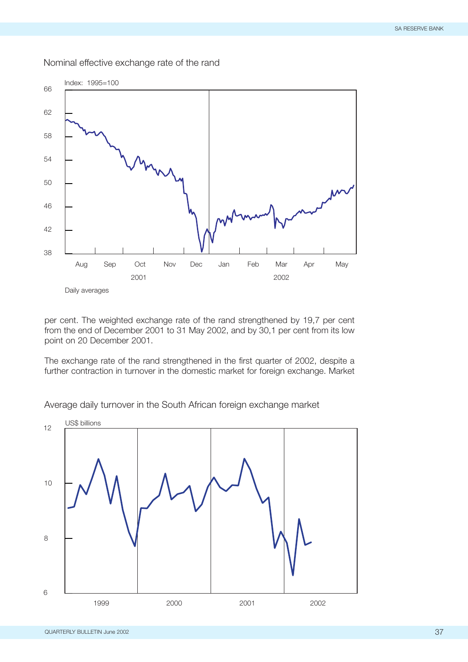

Nominal effective exchange rate of the rand

per cent. The weighted exchange rate of the rand strengthened by 19,7 per cent from the end of December 2001 to 31 May 2002, and by 30,1 per cent from its low point on 20 December 2001.

The exchange rate of the rand strengthened in the first quarter of 2002, despite a further contraction in turnover in the domestic market for foreign exchange. Market

Average daily turnover in the South African foreign exchange market

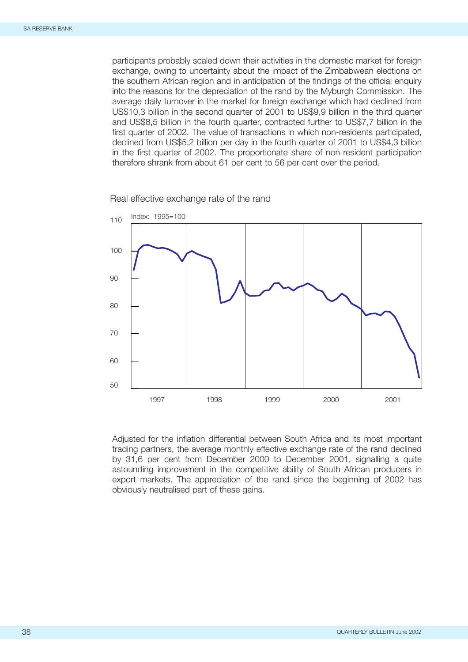participants probably scaled down their activities in the domestic market for foreign exchange, owing to uncertainty about the impact of the Zimbabwean elections on the southern African region and in anticipation of the findings of the official enquiry into the reasons for the depreciation of the rand by the Myburgh Commission. The average daily turnover in the market for foreign exchange which had declined from US\$10,3 billion in the second quarter of 2001 to US\$9,9 billion in the third quarter and US\$8,5 billion in the fourth quarter, contracted further to US\$7,7 billion in the first quarter of 2002. The value of transactions in which non-residents participated, declined from US\$5,2 billion per day in the fourth quarter of 2001 to US\$4,3 billion in the first quarter of 2002. The proportionate share of non-resident participation therefore shrank from about 61 per cent to 56 per cent over the period.



Real effective exchange rate of the rand

Adjusted for the inflation differential between South Africa and its most important trading partners, the average monthly effective exchange rate of the rand declined by 31,6 per cent from December 2000 to December 2001, signalling a quite astounding improvement in the competitive ability of South African producers in export markets. The appreciation of the rand since the beginning of 2002 has obviously neutralised part of these gains.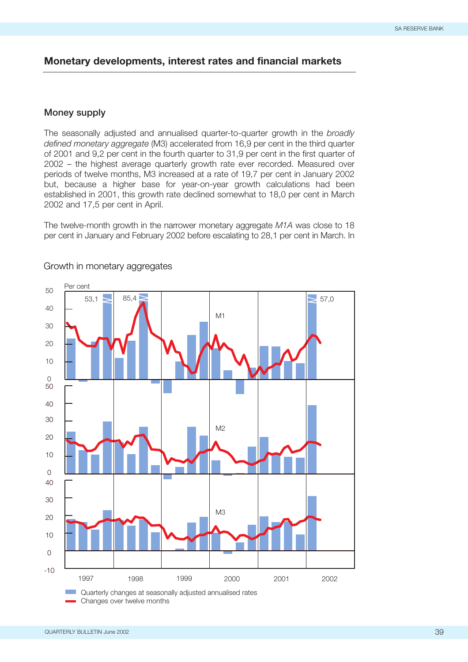## **Monetary developments, interest rates and financial markets**

## **Money supply**

The seasonally adjusted and annualised quarter-to-quarter growth in the *broadly defined monetary aggregate* (M3) accelerated from 16,9 per cent in the third quarter of 2001 and 9,2 per cent in the fourth quarter to 31,9 per cent in the first quarter of 2002 – the highest average quarterly growth rate ever recorded. Measured over periods of twelve months, M3 increased at a rate of 19,7 per cent in January 2002 but, because a higher base for year-on-year growth calculations had been established in 2001, this growth rate declined somewhat to 18,0 per cent in March 2002 and 17,5 per cent in April.

The twelve-month growth in the narrower monetary aggregate *M1A* was close to 18 per cent in January and February 2002 before escalating to 28,1 per cent in March. In



Growth in monetary aggregates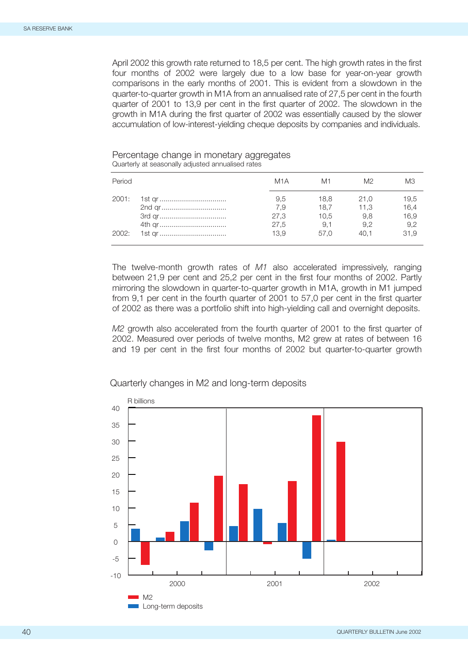April 2002 this growth rate returned to 18,5 per cent. The high growth rates in the first four months of 2002 were largely due to a low base for year-on-year growth comparisons in the early months of 2001. This is evident from a slowdown in the quarter-to-quarter growth in M1A from an annualised rate of 27,5 per cent in the fourth quarter of 2001 to 13,9 per cent in the first quarter of 2002. The slowdown in the growth in M1A during the first quarter of 2002 was essentially caused by the slower accumulation of low-interest-yielding cheque deposits by companies and individuals.

#### Percentage change in monetary aggregates Quarterly at seasonally adjusted annualised rates

| Period<br>M <sub>1</sub> A                           | M1                                  | M2                                 |                                     |
|------------------------------------------------------|-------------------------------------|------------------------------------|-------------------------------------|
| 2001:<br>9,5<br>7.9<br>27,3<br>27,5<br>13.9<br>2002: | 18,8<br>18.7<br>10.5<br>9.1<br>57.0 | 21,0<br>11.3<br>9.8<br>9.2<br>40.1 | 19,5<br>16,4<br>16,9<br>9,2<br>31.9 |

The twelve-month growth rates of *M1* also accelerated impressively, ranging between 21,9 per cent and 25,2 per cent in the first four months of 2002. Partly mirroring the slowdown in quarter-to-quarter growth in M1A, growth in M1 jumped from 9,1 per cent in the fourth quarter of 2001 to 57,0 per cent in the first quarter of 2002 as there was a portfolio shift into high-yielding call and overnight deposits.

*M2* growth also accelerated from the fourth quarter of 2001 to the first quarter of 2002. Measured over periods of twelve months, M2 grew at rates of between 16 and 19 per cent in the first four months of 2002 but quarter-to-quarter growth

### Quarterly changes in M2 and long-term deposits

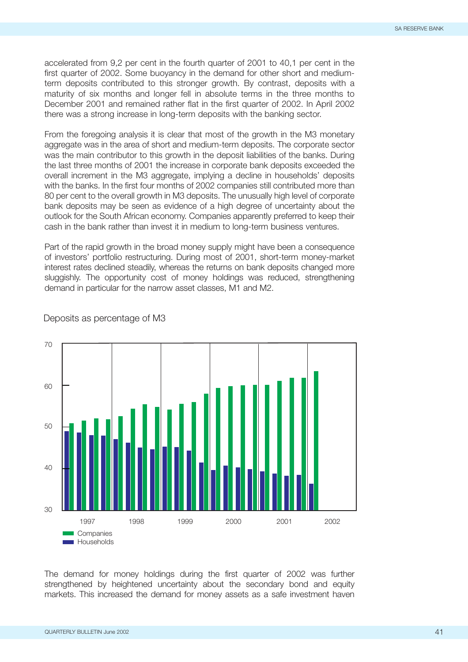accelerated from 9,2 per cent in the fourth quarter of 2001 to 40,1 per cent in the first quarter of 2002. Some buoyancy in the demand for other short and mediumterm deposits contributed to this stronger growth. By contrast, deposits with a maturity of six months and longer fell in absolute terms in the three months to December 2001 and remained rather flat in the first quarter of 2002. In April 2002 there was a strong increase in long-term deposits with the banking sector.

From the foregoing analysis it is clear that most of the growth in the M3 monetary aggregate was in the area of short and medium-term deposits. The corporate sector was the main contributor to this growth in the deposit liabilities of the banks. During the last three months of 2001 the increase in corporate bank deposits exceeded the overall increment in the M3 aggregate, implying a decline in households' deposits with the banks. In the first four months of 2002 companies still contributed more than 80 per cent to the overall growth in M3 deposits. The unusually high level of corporate bank deposits may be seen as evidence of a high degree of uncertainty about the outlook for the South African economy. Companies apparently preferred to keep their cash in the bank rather than invest it in medium to long-term business ventures.

Part of the rapid growth in the broad money supply might have been a consequence of investors' portfolio restructuring. During most of 2001, short-term money-market interest rates declined steadily, whereas the returns on bank deposits changed more sluggishly. The opportunity cost of money holdings was reduced, strengthening demand in particular for the narrow asset classes, M1 and M2.



Deposits as percentage of M3

The demand for money holdings during the first quarter of 2002 was further strengthened by heightened uncertainty about the secondary bond and equity markets. This increased the demand for money assets as a safe investment haven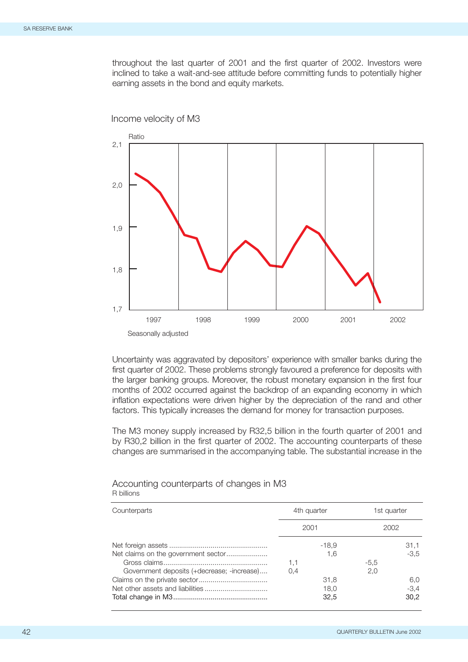throughout the last quarter of 2001 and the first quarter of 2002. Investors were inclined to take a wait-and-see attitude before committing funds to potentially higher earning assets in the bond and equity markets.



Income velocity of M3

Uncertainty was aggravated by depositors' experience with smaller banks during the first quarter of 2002. These problems strongly favoured a preference for deposits with the larger banking groups. Moreover, the robust monetary expansion in the first four months of 2002 occurred against the backdrop of an expanding economy in which inflation expectations were driven higher by the depreciation of the rand and other factors. This typically increases the demand for money for transaction purposes.

The M3 money supply increased by R32,5 billion in the fourth quarter of 2001 and by R30,2 billion in the first quarter of 2002. The accounting counterparts of these changes are summarised in the accompanying table. The substantial increase in the

| Counterparts                                                                      |            | 4th quarter            | 1st quarter   |                       |
|-----------------------------------------------------------------------------------|------------|------------------------|---------------|-----------------------|
|                                                                                   | 2001       |                        | 2002          |                       |
| Net claims on the government sector<br>Government deposits (+decrease; -increase) | 1,1<br>0.4 | $-18.9$<br>1.6<br>31,8 | $-5,5$<br>2.0 | 31,1<br>$-3.5$<br>6,0 |
|                                                                                   |            | 18.0<br>32,5           |               | $-3,4$<br>30.2        |

#### Accounting counterparts of changes in M3 R billions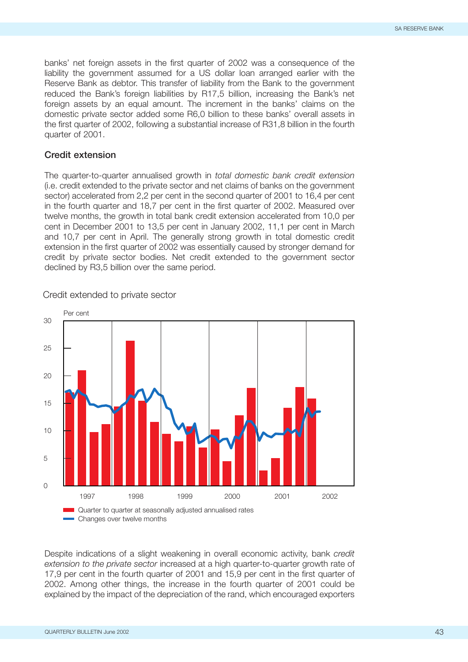banks' net foreign assets in the first quarter of 2002 was a consequence of the liability the government assumed for a US dollar loan arranged earlier with the Reserve Bank as debtor. This transfer of liability from the Bank to the government reduced the Bank's foreign liabilities by R17,5 billion, increasing the Bank's net foreign assets by an equal amount. The increment in the banks' claims on the domestic private sector added some R6,0 billion to these banks' overall assets in the first quarter of 2002, following a substantial increase of R31,8 billion in the fourth quarter of 2001.

#### **Credit extension**

The quarter-to-quarter annualised growth in *total domestic bank credit extension* (i.e. credit extended to the private sector and net claims of banks on the government sector) accelerated from 2,2 per cent in the second quarter of 2001 to 16,4 per cent in the fourth quarter and 18,7 per cent in the first quarter of 2002. Measured over twelve months, the growth in total bank credit extension accelerated from 10,0 per cent in December 2001 to 13,5 per cent in January 2002, 11,1 per cent in March and 10,7 per cent in April. The generally strong growth in total domestic credit extension in the first quarter of 2002 was essentially caused by stronger demand for credit by private sector bodies. Net credit extended to the government sector declined by R3,5 billion over the same period.



Credit extended to private sector

Despite indications of a slight weakening in overall economic activity, bank *credit extension to the private sector* increased at a high quarter-to-quarter growth rate of 17,9 per cent in the fourth quarter of 2001 and 15,9 per cent in the first quarter of 2002. Among other things, the increase in the fourth quarter of 2001 could be explained by the impact of the depreciation of the rand, which encouraged exporters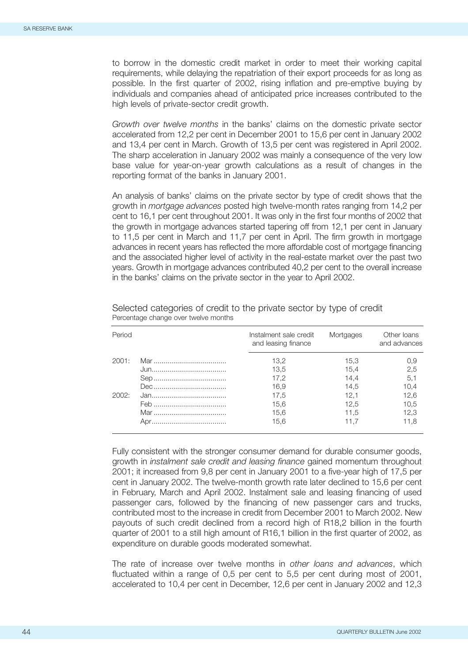to borrow in the domestic credit market in order to meet their working capital requirements, while delaying the repatriation of their export proceeds for as long as possible. In the first quarter of 2002, rising inflation and pre-emptive buying by individuals and companies ahead of anticipated price increases contributed to the high levels of private-sector credit growth.

*Growth over twelve months* in the banks' claims on the domestic private sector accelerated from 12,2 per cent in December 2001 to 15,6 per cent in January 2002 and 13,4 per cent in March. Growth of 13,5 per cent was registered in April 2002. The sharp acceleration in January 2002 was mainly a consequence of the very low base value for year-on-year growth calculations as a result of changes in the reporting format of the banks in January 2001.

An analysis of banks' claims on the private sector by type of credit shows that the growth in *mortgage advances* posted high twelve-month rates ranging from 14,2 per cent to 16,1 per cent throughout 2001. It was only in the first four months of 2002 that the growth in mortgage advances started tapering off from 12,1 per cent in January to 11,5 per cent in March and 11,7 per cent in April. The firm growth in mortgage advances in recent years has reflected the more affordable cost of mortgage financing and the associated higher level of activity in the real-estate market over the past two years. Growth in mortgage advances contributed 40,2 per cent to the overall increase in the banks' claims on the private sector in the year to April 2002.

| Instalment sale credit<br>and leasing finance | Mortgages | Other Ioans<br>and advances |
|-----------------------------------------------|-----------|-----------------------------|
| 13,2                                          | 15,3      | 0,9                         |
| 13.5                                          | 15.4      | 2,5                         |
| 17.2                                          | 14.4      | 5,1                         |
| 16.9                                          | 14.5      | 10,4                        |
| 17.5                                          | 12.1      | 12,6                        |
| 15.6                                          | 12.5      | 10,5                        |
| 15.6                                          | 11.5      | 12,3                        |
| 15.6                                          | 11.7      | 11.8                        |
|                                               |           |                             |

Selected categories of credit to the private sector by type of credit Percentage change over twelve months

Fully consistent with the stronger consumer demand for durable consumer goods, growth in *instalment sale credit and leasing finance* gained momentum throughout 2001; it increased from 9,8 per cent in January 2001 to a five-year high of 17,5 per cent in January 2002. The twelve-month growth rate later declined to 15,6 per cent in February, March and April 2002. Instalment sale and leasing financing of used passenger cars, followed by the financing of new passenger cars and trucks, contributed most to the increase in credit from December 2001 to March 2002. New payouts of such credit declined from a record high of R18,2 billion in the fourth quarter of 2001 to a still high amount of R16,1 billion in the first quarter of 2002, as expenditure on durable goods moderated somewhat.

The rate of increase over twelve months in *other loans and advances*, which fluctuated within a range of 0,5 per cent to 5,5 per cent during most of 2001, accelerated to 10,4 per cent in December, 12,6 per cent in January 2002 and 12,3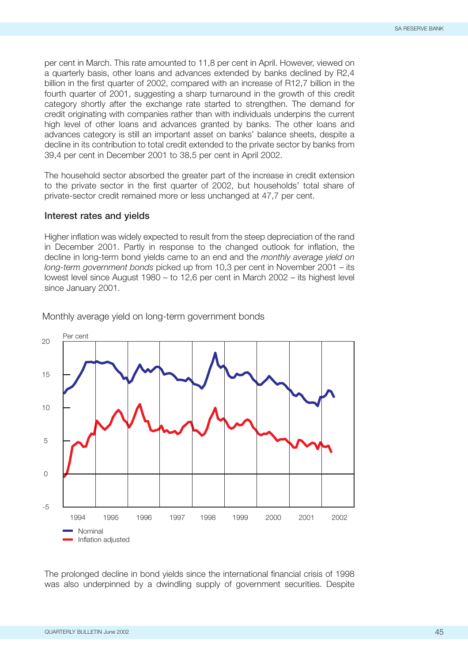per cent in March. This rate amounted to 11,8 per cent in April. However, viewed on a quarterly basis, other loans and advances extended by banks declined by R2,4 billion in the first quarter of 2002, compared with an increase of R12,7 billion in the fourth quarter of 2001, suggesting a sharp turnaround in the growth of this credit category shortly after the exchange rate started to strengthen. The demand for credit originating with companies rather than with individuals underpins the current high level of other loans and advances granted by banks. The other loans and advances category is still an important asset on banks' balance sheets, despite a decline in its contribution to total credit extended to the private sector by banks from 39,4 per cent in December 2001 to 38,5 per cent in April 2002.

The household sector absorbed the greater part of the increase in credit extension to the private sector in the first quarter of 2002, but households' total share of private-sector credit remained more or less unchanged at 47,7 per cent.

#### **Interest rates and yields**

Higher inflation was widely expected to result from the steep depreciation of the rand in December 2001. Partly in response to the changed outlook for inflation, the decline in long-term bond yields came to an end and the *monthly average yield on long-term government bonds* picked up from 10,3 per cent in November 2001 – its lowest level since August 1980 – to 12,6 per cent in March 2002 – its highest level since January 2001.



Monthly average yield on long-term government bonds

The prolonged decline in bond yields since the international financial crisis of 1998 was also underpinned by a dwindling supply of government securities. Despite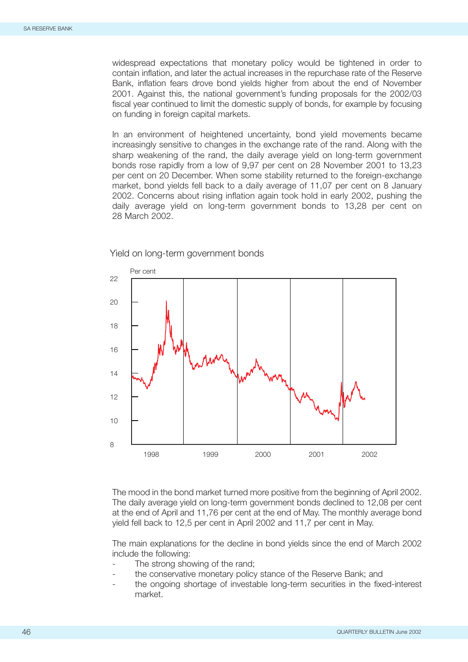widespread expectations that monetary policy would be tightened in order to contain inflation, and later the actual increases in the repurchase rate of the Reserve Bank, inflation fears drove bond yields higher from about the end of November 2001. Against this, the national government's funding proposals for the 2002/03 fiscal year continued to limit the domestic supply of bonds, for example by focusing on funding in foreign capital markets.

In an environment of heightened uncertainty, bond yield movements became increasingly sensitive to changes in the exchange rate of the rand. Along with the sharp weakening of the rand, the daily average yield on long-term government bonds rose rapidly from a low of 9,97 per cent on 28 November 2001 to 13,23 per cent on 20 December. When some stability returned to the foreign-exchange market, bond yields fell back to a daily average of 11,07 per cent on 8 January 2002. Concerns about rising inflation again took hold in early 2002, pushing the daily average yield on long-term government bonds to 13,28 per cent on 28 March 2002.



Yield on long-term government bonds

The mood in the bond market turned more positive from the beginning of April 2002. The daily average yield on long-term government bonds declined to 12,08 per cent at the end of April and 11,76 per cent at the end of May. The monthly average bond yield fell back to 12,5 per cent in April 2002 and 11,7 per cent in May.

The main explanations for the decline in bond yields since the end of March 2002 include the following:

- The strong showing of the rand;
- the conservative monetary policy stance of the Reserve Bank; and
- the ongoing shortage of investable long-term securities in the fixed-interest market.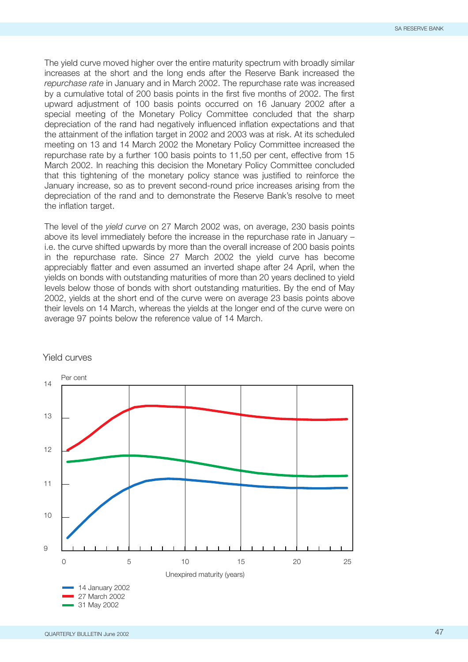The yield curve moved higher over the entire maturity spectrum with broadly similar increases at the short and the long ends after the Reserve Bank increased the *repurchase rate* in January and in March 2002. The repurchase rate was increased by a cumulative total of 200 basis points in the first five months of 2002. The first upward adjustment of 100 basis points occurred on 16 January 2002 after a special meeting of the Monetary Policy Committee concluded that the sharp depreciation of the rand had negatively influenced inflation expectations and that the attainment of the inflation target in 2002 and 2003 was at risk. At its scheduled meeting on 13 and 14 March 2002 the Monetary Policy Committee increased the repurchase rate by a further 100 basis points to 11,50 per cent, effective from 15 March 2002. In reaching this decision the Monetary Policy Committee concluded that this tightening of the monetary policy stance was justified to reinforce the January increase, so as to prevent second-round price increases arising from the depreciation of the rand and to demonstrate the Reserve Bank's resolve to meet the inflation target.

The level of the *yield curve* on 27 March 2002 was, on average, 230 basis points above its level immediately before the increase in the repurchase rate in January – i.e. the curve shifted upwards by more than the overall increase of 200 basis points in the repurchase rate. Since 27 March 2002 the yield curve has become appreciably flatter and even assumed an inverted shape after 24 April, when the yields on bonds with outstanding maturities of more than 20 years declined to yield levels below those of bonds with short outstanding maturities. By the end of May 2002, yields at the short end of the curve were on average 23 basis points above their levels on 14 March, whereas the yields at the longer end of the curve were on average 97 points below the reference value of 14 March.



## Yield curves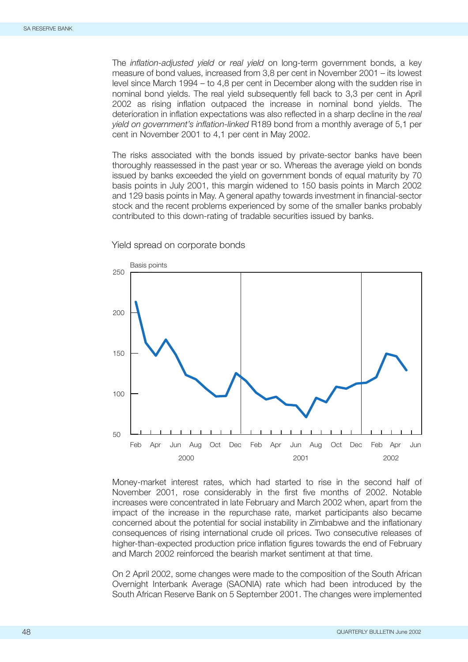The *inflation-adjusted yield* or *real yield* on long-term government bonds, a key measure of bond values, increased from 3,8 per cent in November 2001 – its lowest level since March 1994 – to 4,8 per cent in December along with the sudden rise in nominal bond yields. The real yield subsequently fell back to 3,3 per cent in April 2002 as rising inflation outpaced the increase in nominal bond yields. The deterioration in inflation expectations was also reflected in a sharp decline in the *real yield on government's inflation-linked* R189 bond from a monthly average of 5,1 per cent in November 2001 to 4,1 per cent in May 2002.

The risks associated with the bonds issued by private-sector banks have been thoroughly reassessed in the past year or so. Whereas the average yield on bonds issued by banks exceeded the yield on government bonds of equal maturity by 70 basis points in July 2001, this margin widened to 150 basis points in March 2002 and 129 basis points in May. A general apathy towards investment in financial-sector stock and the recent problems experienced by some of the smaller banks probably contributed to this down-rating of tradable securities issued by banks.



Yield spread on corporate bonds

Money-market interest rates, which had started to rise in the second half of November 2001, rose considerably in the first five months of 2002. Notable increases were concentrated in late February and March 2002 when, apart from the impact of the increase in the repurchase rate, market participants also became concerned about the potential for social instability in Zimbabwe and the inflationary consequences of rising international crude oil prices. Two consecutive releases of higher-than-expected production price inflation figures towards the end of February and March 2002 reinforced the bearish market sentiment at that time.

On 2 April 2002, some changes were made to the composition of the South African Overnight Interbank Average (SAONIA) rate which had been introduced by the South African Reserve Bank on 5 September 2001. The changes were implemented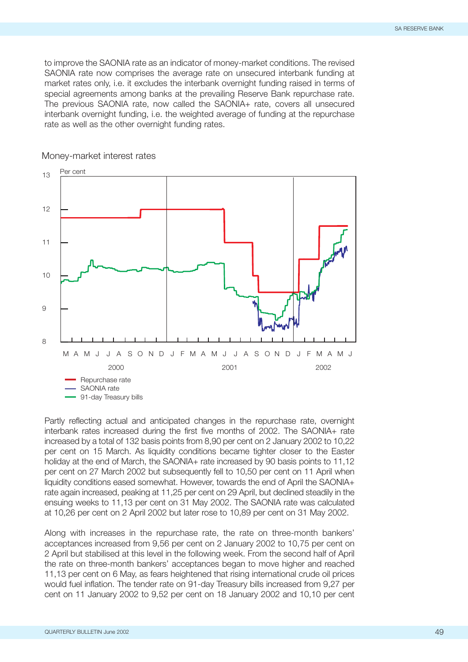to improve the SAONIA rate as an indicator of money-market conditions. The revised SAONIA rate now comprises the average rate on unsecured interbank funding at market rates only, i.e. it excludes the interbank overnight funding raised in terms of special agreements among banks at the prevailing Reserve Bank repurchase rate. The previous SAONIA rate, now called the SAONIA+ rate, covers all unsecured interbank overnight funding, i.e. the weighted average of funding at the repurchase rate as well as the other overnight funding rates.



#### Money-market interest rates

Partly reflecting actual and anticipated changes in the repurchase rate, overnight interbank rates increased during the first five months of 2002. The SAONIA+ rate increased by a total of 132 basis points from 8,90 per cent on 2 January 2002 to 10,22 per cent on 15 March. As liquidity conditions became tighter closer to the Easter holiday at the end of March, the SAONIA+ rate increased by 90 basis points to 11,12 per cent on 27 March 2002 but subsequently fell to 10,50 per cent on 11 April when liquidity conditions eased somewhat. However, towards the end of April the SAONIA+ rate again increased, peaking at 11,25 per cent on 29 April, but declined steadily in the ensuing weeks to 11,13 per cent on 31 May 2002. The SAONIA rate was calculated at 10,26 per cent on 2 April 2002 but later rose to 10,89 per cent on 31 May 2002.

Along with increases in the repurchase rate, the rate on three-month bankers' acceptances increased from 9,56 per cent on 2 January 2002 to 10,75 per cent on 2 April but stabilised at this level in the following week. From the second half of April the rate on three-month bankers' acceptances began to move higher and reached 11,13 per cent on 6 May, as fears heightened that rising international crude oil prices would fuel inflation. The tender rate on 91-day Treasury bills increased from 9,27 per cent on 11 January 2002 to 9,52 per cent on 18 January 2002 and 10,10 per cent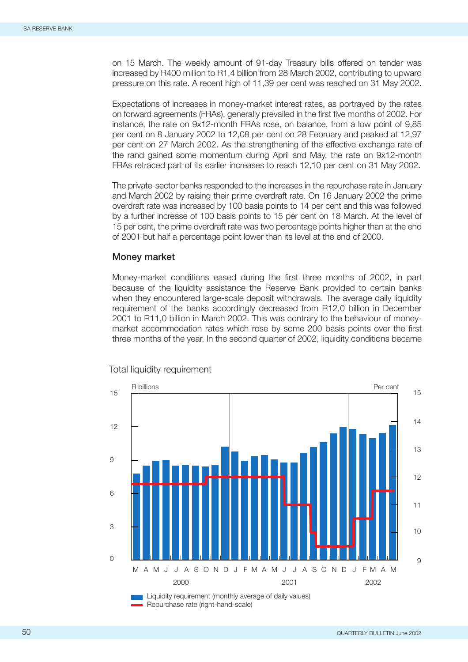on 15 March. The weekly amount of 91-day Treasury bills offered on tender was increased by R400 million to R1,4 billion from 28 March 2002, contributing to upward pressure on this rate. A recent high of 11,39 per cent was reached on 31 May 2002.

Expectations of increases in money-market interest rates, as portrayed by the rates on forward agreements (FRAs), generally prevailed in the first five months of 2002. For instance, the rate on 9x12-month FRAs rose, on balance, from a low point of 9,85 per cent on 8 January 2002 to 12,08 per cent on 28 February and peaked at 12,97 per cent on 27 March 2002. As the strengthening of the effective exchange rate of the rand gained some momentum during April and May, the rate on 9x12-month FRAs retraced part of its earlier increases to reach 12,10 per cent on 31 May 2002.

The private-sector banks responded to the increases in the repurchase rate in January and March 2002 by raising their prime overdraft rate. On 16 January 2002 the prime overdraft rate was increased by 100 basis points to 14 per cent and this was followed by a further increase of 100 basis points to 15 per cent on 18 March. At the level of 15 per cent, the prime overdraft rate was two percentage points higher than at the end of 2001 but half a percentage point lower than its level at the end of 2000.

## **Money market**

Money-market conditions eased during the first three months of 2002, in part because of the liquidity assistance the Reserve Bank provided to certain banks when they encountered large-scale deposit withdrawals. The average daily liquidity requirement of the banks accordingly decreased from R12,0 billion in December 2001 to R11,0 billion in March 2002. This was contrary to the behaviour of moneymarket accommodation rates which rose by some 200 basis points over the first three months of the year. In the second quarter of 2002, liquidity conditions became



#### Total liquidity requirement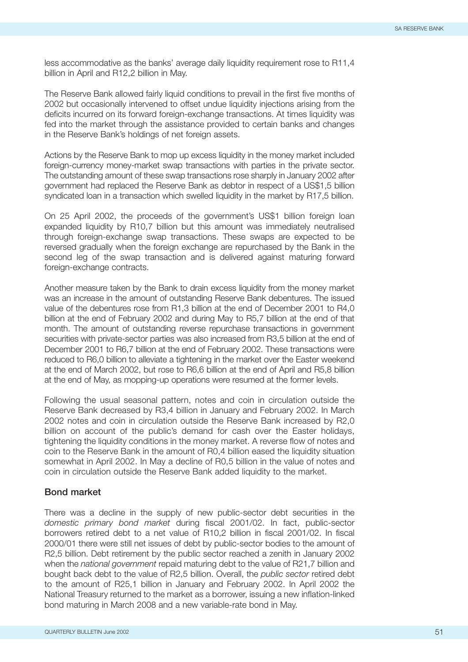less accommodative as the banks' average daily liquidity requirement rose to R11,4 billion in April and R12,2 billion in May.

The Reserve Bank allowed fairly liquid conditions to prevail in the first five months of 2002 but occasionally intervened to offset undue liquidity injections arising from the deficits incurred on its forward foreign-exchange transactions. At times liquidity was fed into the market through the assistance provided to certain banks and changes in the Reserve Bank's holdings of net foreign assets.

Actions by the Reserve Bank to mop up excess liquidity in the money market included foreign-currency money-market swap transactions with parties in the private sector. The outstanding amount of these swap transactions rose sharply in January 2002 after government had replaced the Reserve Bank as debtor in respect of a US\$1,5 billion syndicated loan in a transaction which swelled liquidity in the market by R17,5 billion.

On 25 April 2002, the proceeds of the government's US\$1 billion foreign loan expanded liquidity by R10,7 billion but this amount was immediately neutralised through foreign-exchange swap transactions. These swaps are expected to be reversed gradually when the foreign exchange are repurchased by the Bank in the second leg of the swap transaction and is delivered against maturing forward foreign-exchange contracts.

Another measure taken by the Bank to drain excess liquidity from the money market was an increase in the amount of outstanding Reserve Bank debentures. The issued value of the debentures rose from R1,3 billion at the end of December 2001 to R4,0 billion at the end of February 2002 and during May to R5,7 billion at the end of that month. The amount of outstanding reverse repurchase transactions in government securities with private-sector parties was also increased from R3,5 billion at the end of December 2001 to R6,7 billion at the end of February 2002. These transactions were reduced to R6,0 billion to alleviate a tightening in the market over the Easter weekend at the end of March 2002, but rose to R6,6 billion at the end of April and R5,8 billion at the end of May, as mopping-up operations were resumed at the former levels.

Following the usual seasonal pattern, notes and coin in circulation outside the Reserve Bank decreased by R3,4 billion in January and February 2002. In March 2002 notes and coin in circulation outside the Reserve Bank increased by R2,0 billion on account of the public's demand for cash over the Easter holidays, tightening the liquidity conditions in the money market. A reverse flow of notes and coin to the Reserve Bank in the amount of R0,4 billion eased the liquidity situation somewhat in April 2002. In May a decline of R0,5 billion in the value of notes and coin in circulation outside the Reserve Bank added liquidity to the market.

#### **Bond market**

There was a decline in the supply of new public-sector debt securities in the *domestic primary bond market* during fiscal 2001/02. In fact, public-sector borrowers retired debt to a net value of R10,2 billion in fiscal 2001/02. In fiscal 2000/01 there were still net issues of debt by public-sector bodies to the amount of R2,5 billion. Debt retirement by the public sector reached a zenith in January 2002 when the *national government* repaid maturing debt to the value of R21,7 billion and bought back debt to the value of R2,5 billion. Overall, the *public sector* retired debt to the amount of R25,1 billion in January and February 2002. In April 2002 the National Treasury returned to the market as a borrower, issuing a new inflation-linked bond maturing in March 2008 and a new variable-rate bond in May.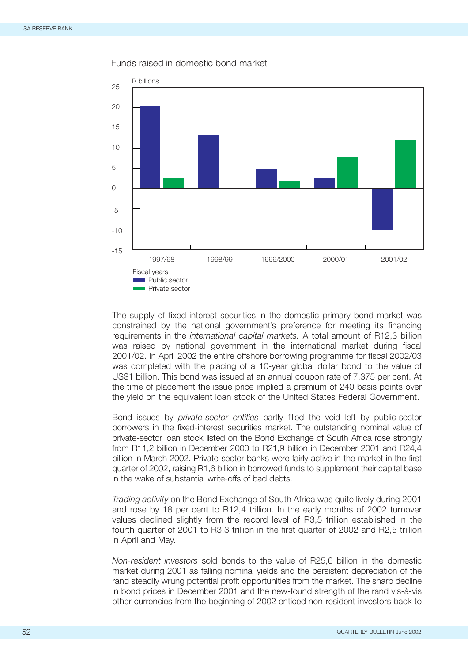

Funds raised in domestic bond market

The supply of fixed-interest securities in the domestic primary bond market was constrained by the national government's preference for meeting its financing requirements in the *international capital markets.* A total amount of R12,3 billion was raised by national government in the international market during fiscal 2001/02. In April 2002 the entire offshore borrowing programme for fiscal 2002/03 was completed with the placing of a 10-year global dollar bond to the value of US\$1 billion. This bond was issued at an annual coupon rate of 7,375 per cent. At the time of placement the issue price implied a premium of 240 basis points over the yield on the equivalent loan stock of the United States Federal Government.

Bond issues by *private-sector entities* partly filled the void left by public-sector borrowers in the fixed-interest securities market. The outstanding nominal value of private-sector loan stock listed on the Bond Exchange of South Africa rose strongly from R11,2 billion in December 2000 to R21,9 billion in December 2001 and R24,4 billion in March 2002. Private-sector banks were fairly active in the market in the first quarter of 2002, raising R1,6 billion in borrowed funds to supplement their capital base in the wake of substantial write-offs of bad debts.

*Trading activity* on the Bond Exchange of South Africa was quite lively during 2001 and rose by 18 per cent to R12,4 trillion. In the early months of 2002 turnover values declined slightly from the record level of R3,5 trillion established in the fourth quarter of 2001 to R3,3 trillion in the first quarter of 2002 and R2,5 trillion in April and May.

*Non-resident investors* sold bonds to the value of R25,6 billion in the domestic market during 2001 as falling nominal yields and the persistent depreciation of the rand steadily wrung potential profit opportunities from the market. The sharp decline in bond prices in December 2001 and the new-found strength of the rand vis-à-vis other currencies from the beginning of 2002 enticed non-resident investors back to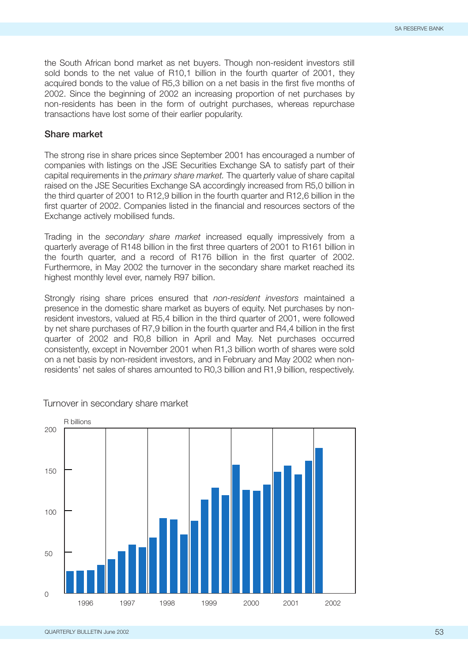the South African bond market as net buyers. Though non-resident investors still sold bonds to the net value of R10,1 billion in the fourth quarter of 2001, they acquired bonds to the value of R5,3 billion on a net basis in the first five months of 2002. Since the beginning of 2002 an increasing proportion of net purchases by non-residents has been in the form of outright purchases, whereas repurchase transactions have lost some of their earlier popularity.

## **Share market**

The strong rise in share prices since September 2001 has encouraged a number of companies with listings on the JSE Securities Exchange SA to satisfy part of their capital requirements in the *primary share market.* The quarterly value of share capital raised on the JSE Securities Exchange SA accordingly increased from R5,0 billion in the third quarter of 2001 to R12,9 billion in the fourth quarter and R12,6 billion in the first quarter of 2002. Companies listed in the financial and resources sectors of the Exchange actively mobilised funds.

Trading in the *secondary share market* increased equally impressively from a quarterly average of R148 billion in the first three quarters of 2001 to R161 billion in the fourth quarter, and a record of R176 billion in the first quarter of 2002. Furthermore, in May 2002 the turnover in the secondary share market reached its highest monthly level ever, namely R97 billion.

Strongly rising share prices ensured that *non-resident investors* maintained a presence in the domestic share market as buyers of equity. Net purchases by nonresident investors, valued at R5,4 billion in the third quarter of 2001, were followed by net share purchases of R7,9 billion in the fourth quarter and R4,4 billion in the first quarter of 2002 and R0,8 billion in April and May. Net purchases occurred consistently, except in November 2001 when R1,3 billion worth of shares were sold on a net basis by non-resident investors, and in February and May 2002 when nonresidents' net sales of shares amounted to R0,3 billion and R1,9 billion, respectively.



Turnover in secondary share market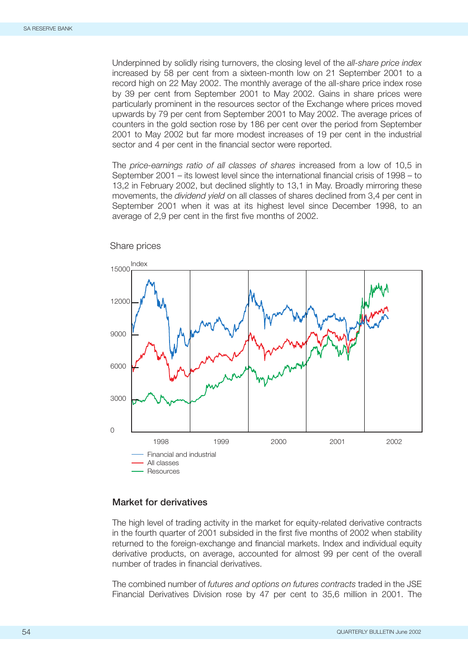Underpinned by solidly rising turnovers, the closing level of the *all-share price index* increased by 58 per cent from a sixteen-month low on 21 September 2001 to a record high on 22 May 2002. The monthly average of the all-share price index rose by 39 per cent from September 2001 to May 2002. Gains in share prices were particularly prominent in the resources sector of the Exchange where prices moved upwards by 79 per cent from September 2001 to May 2002. The average prices of counters in the gold section rose by 186 per cent over the period from September 2001 to May 2002 but far more modest increases of 19 per cent in the industrial sector and 4 per cent in the financial sector were reported.

The *price-earnings ratio of all classes of shares* increased from a low of 10,5 in September 2001 – its lowest level since the international financial crisis of 1998 – to 13,2 in February 2002, but declined slightly to 13,1 in May. Broadly mirroring these movements, the *dividend yield* on all classes of shares declined from 3,4 per cent in September 2001 when it was at its highest level since December 1998, to an average of 2,9 per cent in the first five months of 2002.



Share prices

## **Market for derivatives**

The high level of trading activity in the market for equity-related derivative contracts in the fourth quarter of 2001 subsided in the first five months of 2002 when stability returned to the foreign-exchange and financial markets. Index and individual equity derivative products, on average, accounted for almost 99 per cent of the overall number of trades in financial derivatives.

The combined number of *futures and options on futures contracts* traded in the JSE Financial Derivatives Division rose by 47 per cent to 35,6 million in 2001. The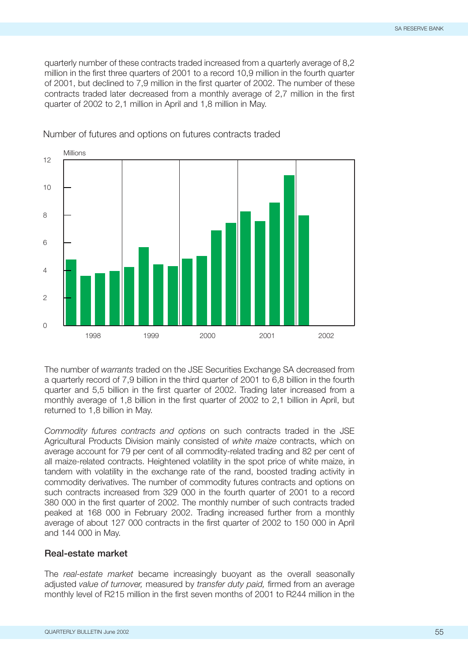quarterly number of these contracts traded increased from a quarterly average of 8,2 million in the first three quarters of 2001 to a record 10,9 million in the fourth quarter of 2001, but declined to 7,9 million in the first quarter of 2002. The number of these contracts traded later decreased from a monthly average of 2,7 million in the first quarter of 2002 to 2,1 million in April and 1,8 million in May.



Number of futures and options on futures contracts traded

The number of *warrants* traded on the JSE Securities Exchange SA decreased from a quarterly record of 7,9 billion in the third quarter of 2001 to 6,8 billion in the fourth quarter and 5,5 billion in the first quarter of 2002. Trading later increased from a monthly average of 1,8 billion in the first quarter of 2002 to 2,1 billion in April, but returned to 1,8 billion in May.

*Commodity futures contracts and options* on such contracts traded in the JSE Agricultural Products Division mainly consisted of *white maize* contracts, which on average account for 79 per cent of all commodity-related trading and 82 per cent of all maize-related contracts. Heightened volatility in the spot price of white maize, in tandem with volatility in the exchange rate of the rand, boosted trading activity in commodity derivatives. The number of commodity futures contracts and options on such contracts increased from 329 000 in the fourth quarter of 2001 to a record 380 000 in the first quarter of 2002. The monthly number of such contracts traded peaked at 168 000 in February 2002. Trading increased further from a monthly average of about 127 000 contracts in the first quarter of 2002 to 150 000 in April and 144 000 in May.

#### **Real-estate market**

The *real-estate market* became increasingly buoyant as the overall seasonally adjusted *value of turnover,* measured by *transfer duty paid,* firmed from an average monthly level of R215 million in the first seven months of 2001 to R244 million in the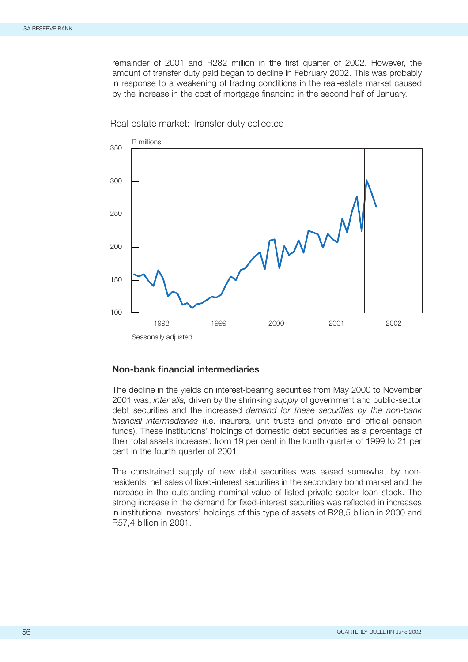remainder of 2001 and R282 million in the first quarter of 2002. However, the amount of transfer duty paid began to decline in February 2002. This was probably in response to a weakening of trading conditions in the real-estate market caused by the increase in the cost of mortgage financing in the second half of January.



Real-estate market: Transfer duty collected

## **Non-bank financial intermediaries**

The decline in the yields on interest-bearing securities from May 2000 to November 2001 was, *inter alia,* driven by the shrinking *supply* of government and public-sector debt securities and the increased *demand for these securities by the non-bank financial intermediaries* (i.e. insurers, unit trusts and private and official pension funds). These institutions' holdings of domestic debt securities as a percentage of their total assets increased from 19 per cent in the fourth quarter of 1999 to 21 per cent in the fourth quarter of 2001.

The constrained supply of new debt securities was eased somewhat by nonresidents' net sales of fixed-interest securities in the secondary bond market and the increase in the outstanding nominal value of listed private-sector loan stock. The strong increase in the demand for fixed-interest securities was reflected in increases in institutional investors' holdings of this type of assets of R28,5 billion in 2000 and R57,4 billion in 2001.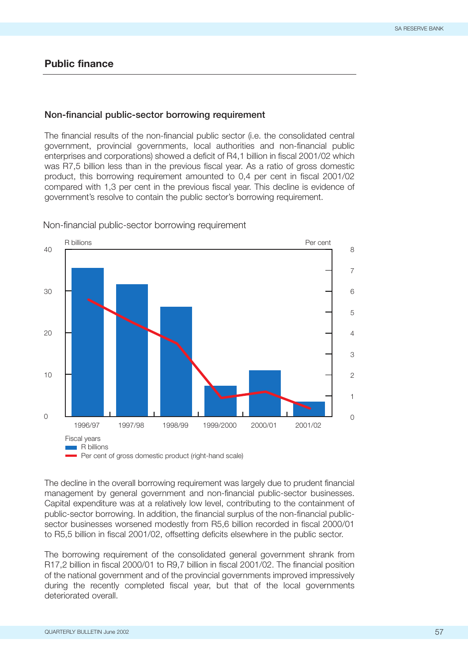# **Public finance**

#### **Non-financial public-sector borrowing requirement**

The financial results of the non-financial public sector (i.e. the consolidated central government, provincial governments, local authorities and non-financial public enterprises and corporations) showed a deficit of R4,1 billion in fiscal 2001/02 which was R7,5 billion less than in the previous fiscal year. As a ratio of gross domestic product, this borrowing requirement amounted to 0,4 per cent in fiscal 2001/02 compared with 1,3 per cent in the previous fiscal year. This decline is evidence of government's resolve to contain the public sector's borrowing requirement.



Non-financial public-sector borrowing requirement

The decline in the overall borrowing requirement was largely due to prudent financial management by general government and non-financial public-sector businesses. Capital expenditure was at a relatively low level, contributing to the containment of public-sector borrowing. In addition, the financial surplus of the non-financial publicsector businesses worsened modestly from R5,6 billion recorded in fiscal 2000/01 to R5,5 billion in fiscal 2001/02, offsetting deficits elsewhere in the public sector.

The borrowing requirement of the consolidated general government shrank from R17,2 billion in fiscal 2000/01 to R9,7 billion in fiscal 2001/02. The financial position of the national government and of the provincial governments improved impressively during the recently completed fiscal year, but that of the local governments deteriorated overall.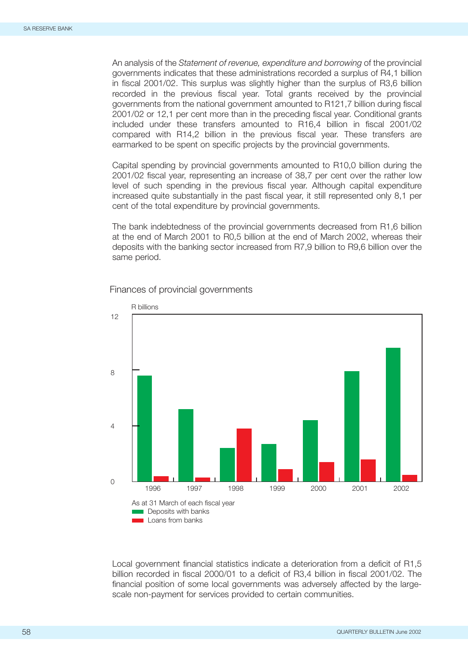An analysis of the *Statement of revenue, expenditure and borrowing* of the provincial governments indicates that these administrations recorded a surplus of R4,1 billion in fiscal 2001/02. This surplus was slightly higher than the surplus of R3,6 billion recorded in the previous fiscal year. Total grants received by the provincial governments from the national government amounted to R121,7 billion during fiscal 2001/02 or 12,1 per cent more than in the preceding fiscal year. Conditional grants included under these transfers amounted to R16,4 billion in fiscal 2001/02 compared with R14,2 billion in the previous fiscal year. These transfers are earmarked to be spent on specific projects by the provincial governments.

Capital spending by provincial governments amounted to R10,0 billion during the 2001/02 fiscal year, representing an increase of 38,7 per cent over the rather low level of such spending in the previous fiscal year. Although capital expenditure increased quite substantially in the past fiscal year, it still represented only 8,1 per cent of the total expenditure by provincial governments.

The bank indebtedness of the provincial governments decreased from R1,6 billion at the end of March 2001 to R0,5 billion at the end of March 2002, whereas their deposits with the banking sector increased from R7,9 billion to R9,6 billion over the same period.



Finances of provincial governments

Local government financial statistics indicate a deterioration from a deficit of R1,5 billion recorded in fiscal 2000/01 to a deficit of R3,4 billion in fiscal 2001/02. The financial position of some local governments was adversely affected by the largescale non-payment for services provided to certain communities.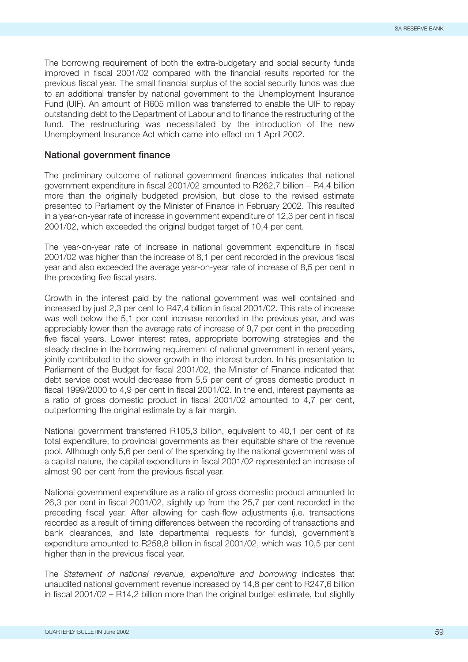The borrowing requirement of both the extra-budgetary and social security funds improved in fiscal 2001/02 compared with the financial results reported for the previous fiscal year. The small financial surplus of the social security funds was due to an additional transfer by national government to the Unemployment Insurance Fund (UIF). An amount of R605 million was transferred to enable the UIF to repay outstanding debt to the Department of Labour and to finance the restructuring of the fund. The restructuring was necessitated by the introduction of the new Unemployment Insurance Act which came into effect on 1 April 2002.

#### **National government finance**

The preliminary outcome of national government finances indicates that national government expenditure in fiscal 2001/02 amounted to R262,7 billion – R4,4 billion more than the originally budgeted provision, but close to the revised estimate presented to Parliament by the Minister of Finance in February 2002. This resulted in a year-on-year rate of increase in government expenditure of 12,3 per cent in fiscal 2001/02, which exceeded the original budget target of 10,4 per cent.

The year-on-year rate of increase in national government expenditure in fiscal 2001/02 was higher than the increase of 8,1 per cent recorded in the previous fiscal year and also exceeded the average year-on-year rate of increase of 8,5 per cent in the preceding five fiscal years.

Growth in the interest paid by the national government was well contained and increased by just 2,3 per cent to R47,4 billion in fiscal 2001/02. This rate of increase was well below the 5,1 per cent increase recorded in the previous year, and was appreciably lower than the average rate of increase of 9,7 per cent in the preceding five fiscal years. Lower interest rates, appropriate borrowing strategies and the steady decline in the borrowing requirement of national government in recent years, jointly contributed to the slower growth in the interest burden. In his presentation to Parliament of the Budget for fiscal 2001/02, the Minister of Finance indicated that debt service cost would decrease from 5,5 per cent of gross domestic product in fiscal 1999/2000 to 4,9 per cent in fiscal 2001/02. In the end, interest payments as a ratio of gross domestic product in fiscal 2001/02 amounted to 4,7 per cent, outperforming the original estimate by a fair margin.

National government transferred R105,3 billion, equivalent to 40,1 per cent of its total expenditure, to provincial governments as their equitable share of the revenue pool. Although only 5,6 per cent of the spending by the national government was of a capital nature, the capital expenditure in fiscal 2001/02 represented an increase of almost 90 per cent from the previous fiscal year.

National government expenditure as a ratio of gross domestic product amounted to 26,3 per cent in fiscal 2001/02, slightly up from the 25,7 per cent recorded in the preceding fiscal year. After allowing for cash-flow adjustments (i.e. transactions recorded as a result of timing differences between the recording of transactions and bank clearances, and late departmental requests for funds), government's expenditure amounted to R258,8 billion in fiscal 2001/02, which was 10,5 per cent higher than in the previous fiscal year.

The *Statement of national revenue, expenditure and borrowing* indicates that unaudited national government revenue increased by 14,8 per cent to R247,6 billion in fiscal 2001/02 – R14,2 billion more than the original budget estimate, but slightly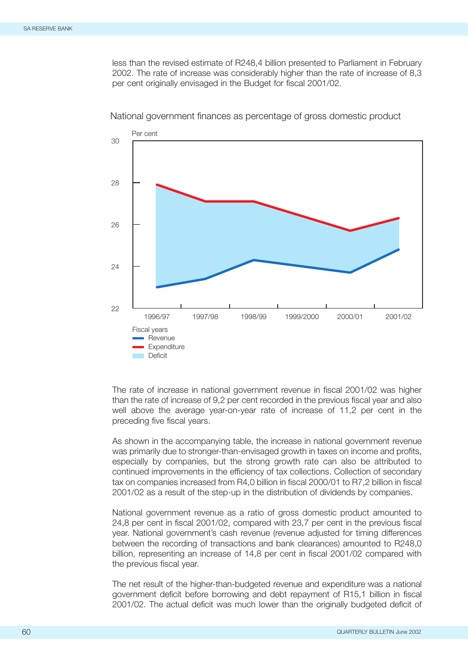less than the revised estimate of R248,4 billion presented to Parliament in February 2002. The rate of increase was considerably higher than the rate of increase of 8,3 per cent originally envisaged in the Budget for fiscal 2001/02.



National government finances as percentage of gross domestic product

The rate of increase in national government revenue in fiscal 2001/02 was higher than the rate of increase of 9,2 per cent recorded in the previous fiscal year and also well above the average year-on-year rate of increase of 11,2 per cent in the preceding five fiscal years.

As shown in the accompanying table, the increase in national government revenue was primarily due to stronger-than-envisaged growth in taxes on income and profits, especially by companies, but the strong growth rate can also be attributed to continued improvements in the efficiency of tax collections. Collection of secondary tax on companies increased from R4,0 billion in fiscal 2000/01 to R7,2 billion in fiscal 2001/02 as a result of the step-up in the distribution of dividends by companies.

National government revenue as a ratio of gross domestic product amounted to 24,8 per cent in fiscal 2001/02, compared with 23,7 per cent in the previous fiscal year. National government's cash revenue (revenue adjusted for timing differences between the recording of transactions and bank clearances) amounted to R248,0 billion, representing an increase of 14,8 per cent in fiscal 2001/02 compared with the previous fiscal year.

The net result of the higher-than-budgeted revenue and expenditure was a national government deficit before borrowing and debt repayment of R15,1 billion in fiscal 2001/02. The actual deficit was much lower than the originally budgeted deficit of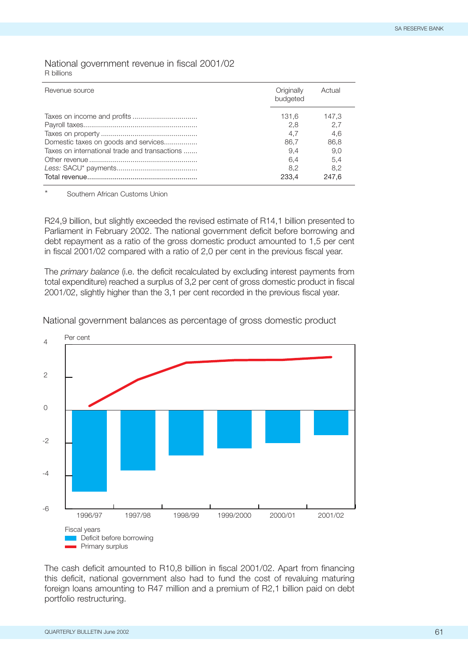## National government revenue in fiscal 2001/02 R billions

| Revenue source                                                                        | Originally<br>budgeted                                    | Actual                                                    |
|---------------------------------------------------------------------------------------|-----------------------------------------------------------|-----------------------------------------------------------|
| Domestic taxes on goods and services<br>Taxes on international trade and transactions | 131.6<br>2.8<br>4.7<br>86,7<br>9.4<br>6.4<br>8.2<br>233.4 | 147.3<br>2.7<br>4.6<br>86,8<br>9.0<br>5.4<br>8.2<br>247.6 |
|                                                                                       |                                                           |                                                           |

Southern African Customs Union

R24,9 billion, but slightly exceeded the revised estimate of R14,1 billion presented to Parliament in February 2002. The national government deficit before borrowing and debt repayment as a ratio of the gross domestic product amounted to 1,5 per cent in fiscal 2001/02 compared with a ratio of 2,0 per cent in the previous fiscal year.

The *primary balance* (i.e. the deficit recalculated by excluding interest payments from total expenditure) reached a surplus of 3,2 per cent of gross domestic product in fiscal 2001/02, slightly higher than the 3,1 per cent recorded in the previous fiscal year.





The cash deficit amounted to R10,8 billion in fiscal 2001/02. Apart from financing this deficit, national government also had to fund the cost of revaluing maturing foreign loans amounting to R47 million and a premium of R2,1 billion paid on debt portfolio restructuring.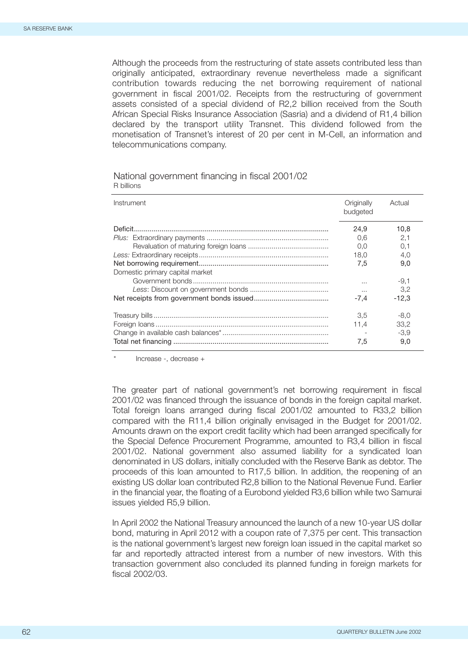Although the proceeds from the restructuring of state assets contributed less than originally anticipated, extraordinary revenue nevertheless made a significant contribution towards reducing the net borrowing requirement of national government in fiscal 2001/02. Receipts from the restructuring of government assets consisted of a special dividend of R2,2 billion received from the South African Special Risks Insurance Association (Sasria) and a dividend of R1,4 billion declared by the transport utility Transnet. This dividend followed from the monetisation of Transnet's interest of 20 per cent in M-Cell, an information and telecommunications company.

### National government financing in fiscal 2001/02 R billions

| Instrument                      | Originally<br>budgeted | Actual      |
|---------------------------------|------------------------|-------------|
|                                 | 24.9<br>0.6            | 10,8<br>2.1 |
|                                 | 0.0                    | 0.1         |
|                                 | 18.0                   | 4.0         |
|                                 | 7.5                    | 9.0         |
| Domestic primary capital market |                        |             |
|                                 | $\cdots$               | $-9.1$      |
|                                 | $\cdots$               | 3.2         |
|                                 | -7.4                   | -12.3       |
|                                 | 3.5                    | -8.0        |
|                                 | 11.4                   | 33.2        |
|                                 |                        | $-3.9$      |
|                                 | 7.5                    | 9,0         |

Increase -, decrease +

The greater part of national government's net borrowing requirement in fiscal 2001/02 was financed through the issuance of bonds in the foreign capital market. Total foreign loans arranged during fiscal 2001/02 amounted to R33,2 billion compared with the R11,4 billion originally envisaged in the Budget for 2001/02. Amounts drawn on the export credit facility which had been arranged specifically for the Special Defence Procurement Programme, amounted to R3,4 billion in fiscal 2001/02. National government also assumed liability for a syndicated loan denominated in US dollars, initially concluded with the Reserve Bank as debtor. The proceeds of this loan amounted to R17,5 billion. In addition, the reopening of an existing US dollar loan contributed R2,8 billion to the National Revenue Fund. Earlier in the financial year, the floating of a Eurobond yielded R3,6 billion while two Samurai issues yielded R5,9 billion.

In April 2002 the National Treasury announced the launch of a new 10-year US dollar bond, maturing in April 2012 with a coupon rate of 7,375 per cent. This transaction is the national government's largest new foreign loan issued in the capital market so far and reportedly attracted interest from a number of new investors. With this transaction government also concluded its planned funding in foreign markets for fiscal 2002/03.